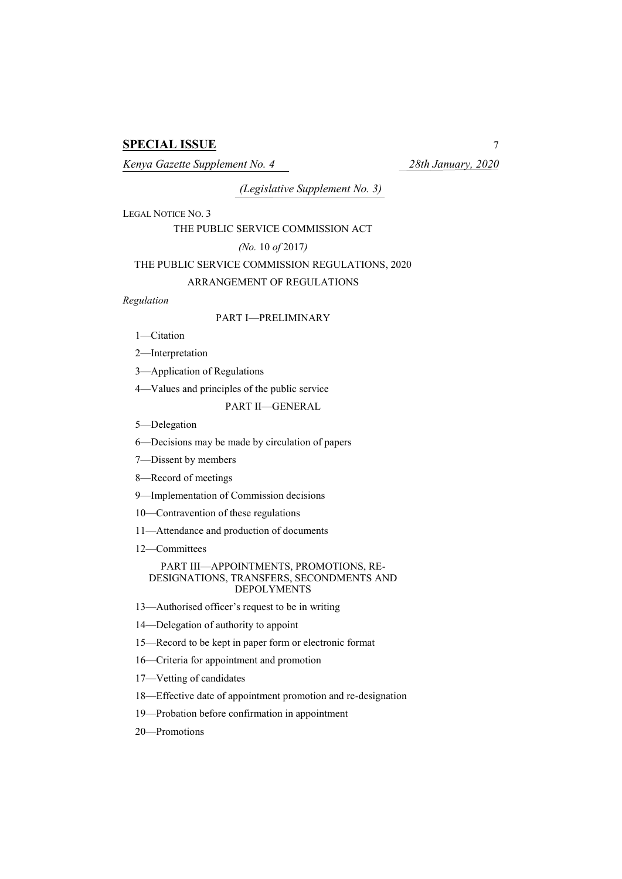# **SPECIAL ISSUE** 7

*Kenya Gazette Supplement No. 4 28th January, 2020*

*(Legislative Supplement No. 3)*

LEGAL NOTICE NO. 3

THE PUBLIC SERVICE COMMISSION ACT

*(No.* 10 *of* 2017*)*

# THE PUBLIC SERVICE COMMISSION REGULATIONS, 2020

# ARRANGEMENT OF REGULATIONS

*Regulation*

# PART I—PRELIMINARY

1—Citation

2—Interpretation

3—Application of Regulations

4—Values and principles of the public service

PART II—GENERAL

5—Delegation

6—Decisions may be made by circulation of papers

7—Dissent by members

8—Record of meetings

9—Implementation of Commission decisions

10—Contravention of these regulations

11—Attendance and production of documents

12—Committees

#### PART III—APPOINTMENTS, PROMOTIONS, RE-DESIGNATIONS, TRANSFERS, SECONDMENTS AND DEPOLYMENTS

13—Authorised officer's request to be in writing

14—Delegation of authority to appoint

15—Record to be kept in paper form or electronic format

16—Criteria for appointment and promotion

17—Vetting of candidates

18—Effective date of appointment promotion and re-designation

19—Probation before confirmation in appointment

20—Promotions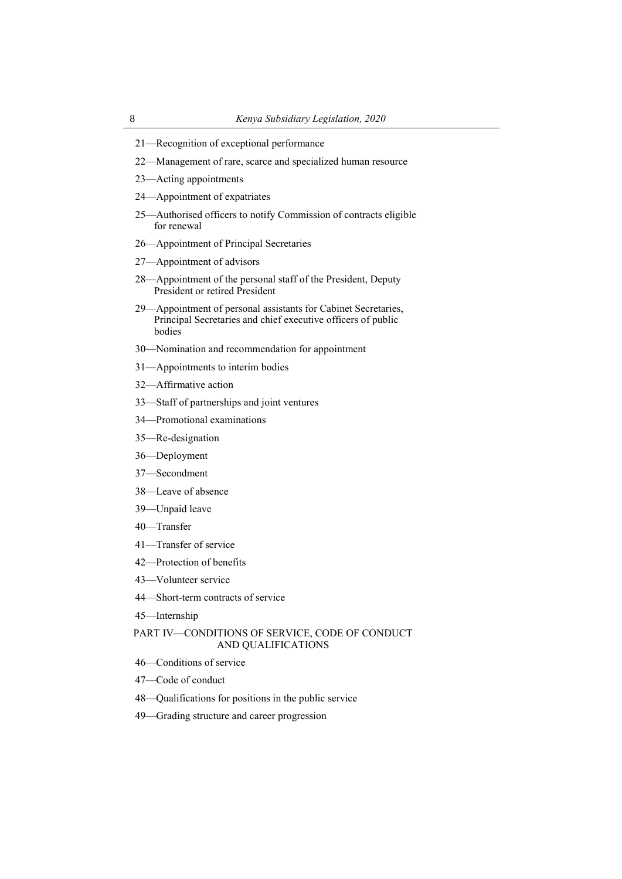- —Recognition of exceptional performance
- —Management of rare, scarce and specialized human resource
- —Acting appointments
- —Appointment of expatriates
- —Authorised officers to notify Commission of contracts eligible for renewal
- —Appointment of Principal Secretaries
- —Appointment of advisors
- —Appointment of the personal staff of the President, Deputy President or retired President
- —Appointment of personal assistants for Cabinet Secretaries, Principal Secretaries and chief executive officers of public bodies
- —Nomination and recommendation for appointment
- —Appointments to interim bodies
- —Affirmative action
- —Staff of partnerships and joint ventures
- —Promotional examinations
- —Re-designation
- —Deployment
- —Secondment
- —Leave of absence
- —Unpaid leave
- —Transfer
- —Transfer of service
- —Protection of benefits
- —Volunteer service
- —Short-term contracts of service
- —Internship

# PART IV—CONDITIONS OF SERVICE, CODE OF CONDUCT AND QUALIFICATIONS

- —Conditions of service
- —Code of conduct
- —Qualifications for positions in the public service
- —Grading structure and career progression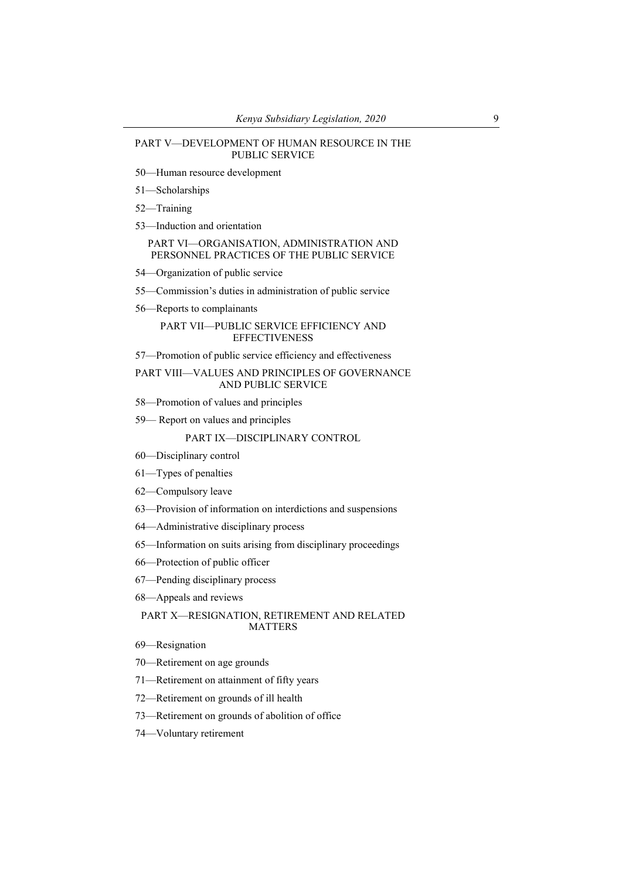#### PART V—DEVELOPMENT OF HUMAN RESOURCE IN THE PUBLIC SERVICE

- —Human resource development
- —Scholarships
- —Training
- —Induction and orientation

PART VI—ORGANISATION, ADMINISTRATION AND PERSONNEL PRACTICES OF THE PUBLIC SERVICE

- —Organization of public service
- —Commission's duties in administration of public service
- —Reports to complainants

# PART VII—PUBLIC SERVICE EFFICIENCY AND **EFFECTIVENESS**

—Promotion of public service efficiency and effectiveness

# PART VIII—VALUES AND PRINCIPLES OF GOVERNANCE AND PUBLIC SERVICE

- —Promotion of values and principles
- Report on values and principles

#### PART IX—DISCIPLINARY CONTROL

- —Disciplinary control
- —Types of penalties
- —Compulsory leave
- —Provision of information on interdictions and suspensions
- —Administrative disciplinary process
- —Information on suits arising from disciplinary proceedings
- —Protection of public officer
- —Pending disciplinary process
- —Appeals and reviews

#### PART X—RESIGNATION, RETIREMENT AND RELATED MATTERS

- —Resignation
- —Retirement on age grounds
- —Retirement on attainment of fifty years
- —Retirement on grounds of ill health
- —Retirement on grounds of abolition of office
- —Voluntary retirement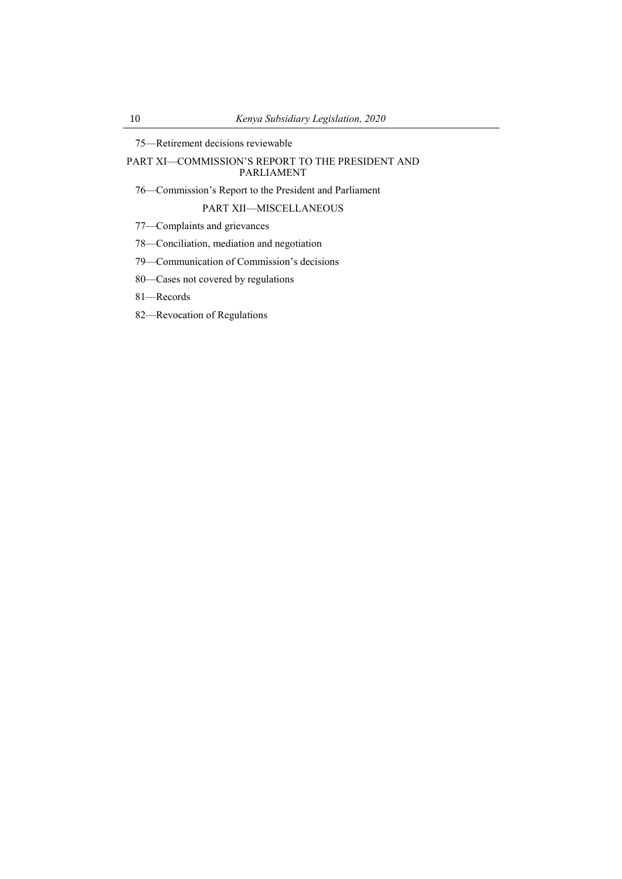—Retirement decisions reviewable

PART XI—COMMISSION'S REPORT TO THE PRESIDENT AND PARLIAMENT

—Commission's Report to the President and Parliament

PART XII—MISCELLANEOUS

—Complaints and grievances

—Conciliation, mediation and negotiation

—Communication of Commission's decisions

—Cases not covered by regulations

—Records

—Revocation of Regulations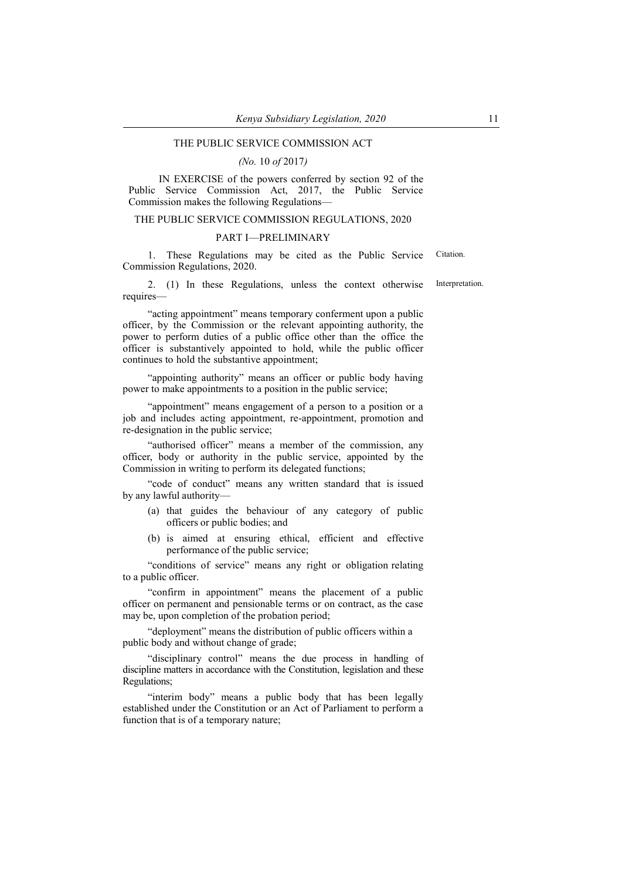# THE PUBLIC SERVICE COMMISSION ACT

#### *(No.* 10 *of* 2017*)*

IN EXERCISE of the powers conferred by section 92 of the Public Service Commission Act, 2017, the Public Service Commission makes the following Regulations—

#### THE PUBLIC SERVICE COMMISSION REGULATIONS, 2020

## PART I—PRELIMINARY

1. These Regulations may be cited as the Public Service Commission Regulations, 2020. **Citation** 

2. (1) In these Regulations, unless the context otherwise requires— Interpretation.

"acting appointment" means temporary conferment upon a public officer, by the Commission or the relevant appointing authority, the power to perform duties of a public office other than the office the officer is substantively appointed to hold, while the public officer continues to hold the substantive appointment;

"appointing authority" means an officer or public body having power to make appointments to a position in the public service;

"appointment" means engagement of a person to a position or a job and includes acting appointment, re-appointment, promotion and re-designation in the public service;

"authorised officer" means a member of the commission, any officer, body or authority in the public service, appointed by the Commission in writing to perform its delegated functions;

"code of conduct" means any written standard that is issued by any lawful authority—

- (a) that guides the behaviour of any category of public officers or public bodies; and
- (b) is aimed at ensuring ethical, efficient and effective performance of the public service;

"conditions of service" means any right or obligation relating to a public officer.

"confirm in appointment" means the placement of a public officer on permanent and pensionable terms or on contract, as the case may be, upon completion of the probation period;

"deployment" means the distribution of public officers within a public body and without change of grade;

"disciplinary control" means the due process in handling of discipline matters in accordance with the Constitution, legislation and these Regulations;

"interim body" means a public body that has been legally established under the Constitution or an Act of Parliament to perform a function that is of a temporary nature;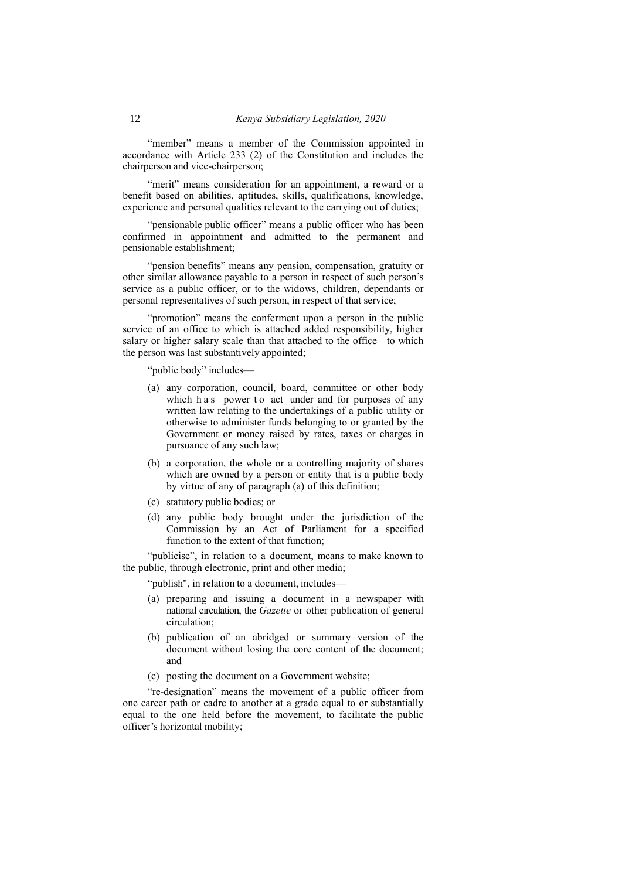"member" means a member of the Commission appointed in accordance with Article 233 (2) of the Constitution and includes the chairperson and vice-chairperson;

"merit" means consideration for an appointment, a reward or a benefit based on abilities, aptitudes, skills, qualifications, knowledge, experience and personal qualities relevant to the carrying out of duties;

"pensionable public officer" means a public officer who has been confirmed in appointment and admitted to the permanent and pensionable establishment;

"pension benefits" means any pension, compensation, gratuity or other similar allowance payable to a person in respect of such person's service as a public officer, or to the widows, children, dependants or personal representatives of such person, in respect of that service;

"promotion" means the conferment upon a person in the public service of an office to which is attached added responsibility, higher salary or higher salary scale than that attached to the office to which the person was last substantively appointed;

"public body" includes—

- (a) any corporation, council, board, committee or other body which h a s power to act under and for purposes of any written law relating to the undertakings of a public utility or otherwise to administer funds belonging to or granted by the Government or money raised by rates, taxes or charges in pursuance of any such law;
- (b) a corporation, the whole or a controlling majority of shares which are owned by a person or entity that is a public body by virtue of any of paragraph (a) of this definition;
- (c) statutory public bodies; or
- (d) any public body brought under the jurisdiction of the Commission by an Act of Parliament for a specified function to the extent of that function;

"publicise", in relation to a document, means to make known to the public, through electronic, print and other media;

"publish", in relation to a document, includes—

- (a) preparing and issuing a document in a newspaper with national circulation, the *Gazette* or other publication of general circulation;
- (b) publication of an abridged or summary version of the document without losing the core content of the document; and
- (c) posting the document on a Government website;

"re-designation" means the movement of a public officer from one career path or cadre to another at a grade equal to or substantially equal to the one held before the movement, to facilitate the public officer's horizontal mobility;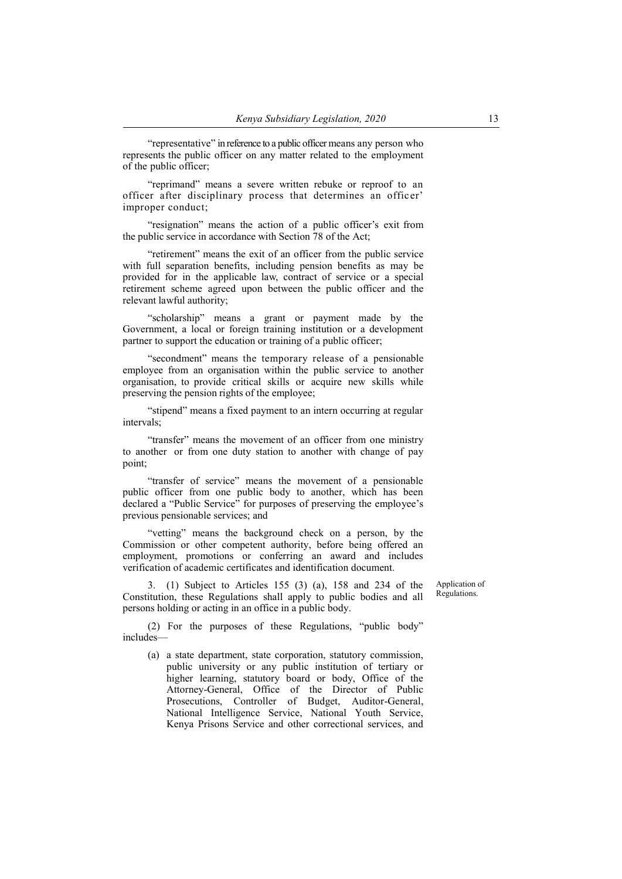"representative" in reference to a public officer means any person who represents the public officer on any matter related to the employment of the public officer;

"reprimand" means a severe written rebuke or reproof to an officer after disciplinary process that determines an offic er' improper conduct;

"resignation" means the action of a public officer's exit from the public service in accordance with Section 78 of the Act;

"retirement" means the exit of an officer from the public service with full separation benefits, including pension benefits as may be provided for in the applicable law, contract of service or a special retirement scheme agreed upon between the public officer and the relevant lawful authority;

"scholarship" means a grant or payment made by the Government, a local or foreign training institution or a development partner to support the education or training of a public officer;

"secondment" means the temporary release of a pensionable employee from an organisation within the public service to another organisation, to provide critical skills or acquire new skills while preserving the pension rights of the employee;

"stipend" means a fixed payment to an intern occurring at regular intervals;

"transfer" means the movement of an officer from one ministry to another or from one duty station to another with change of pay point;

"transfer of service" means the movement of a pensionable public officer from one public body to another, which has been declared a "Public Service" for purposes of preserving the employee's previous pensionable services; and

"vetting" means the background check on a person, by the Commission or other competent authority, before being offered an employment, promotions or conferring an award and includes verification of academic certificates and identification document.

3. (1) Subject to Articles 155 (3) (a), 158 and 234 of the Constitution, these Regulations shall apply to public bodies and all persons holding or acting in an office in a public body.

Application of Regulations.

(2) For the purposes of these Regulations, "public body" includes—

(a) a state department, state corporation, statutory commission, public university or any public institution of tertiary or higher learning, statutory board or body, Office of the Attorney-General, Office of the Director of Public Prosecutions, Controller of Budget, Auditor-General, National Intelligence Service, National Youth Service, Kenya Prisons Service and other correctional services, and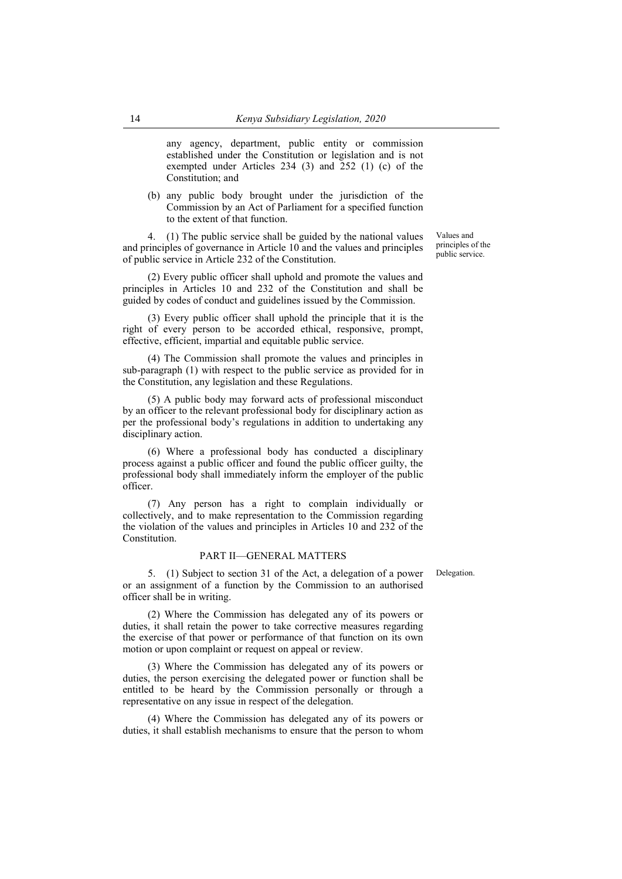any agency, department, public entity or commission established under the Constitution or legislation and is not exempted under Articles 234 (3) and 252 (1) (c) of the Constitution; and

(b) any public body brought under the jurisdiction of the Commission by an Act of Parliament for a specified function to the extent of that function.

4. (1) The public service shall be guided by the national values and principles of governance in Article 10 and the values and principles of public service in Article 232 of the Constitution.

(2) Every public officer shall uphold and promote the values and principles in Articles 10 and 232 of the Constitution and shall be guided by codes of conduct and guidelines issued by the Commission.

(3) Every public officer shall uphold the principle that it is the right of every person to be accorded ethical, responsive, prompt, effective, efficient, impartial and equitable public service.

(4) The Commission shall promote the values and principles in sub-paragraph (1) with respect to the public service as provided for in the Constitution, any legislation and these Regulations.

(5) A public body may forward acts of professional misconduct by an officer to the relevant professional body for disciplinary action as per the professional body's regulations in addition to undertaking any disciplinary action.

(6) Where a professional body has conducted a disciplinary process against a public officer and found the public officer guilty, the professional body shall immediately inform the employer of the public officer.

(7) Any person has a right to complain individually or collectively, and to make representation to the Commission regarding the violation of the values and principles in Articles 10 and 232 of the Constitution.

#### PART II—GENERAL MATTERS

5. (1) Subject to section 31 of the Act, a delegation of a power or an assignment of a function by the Commission to an authorised officer shall be in writing.

(2) Where the Commission has delegated any of its powers or duties, it shall retain the power to take corrective measures regarding the exercise of that power or performance of that function on its own motion or upon complaint or request on appeal or review.

(3) Where the Commission has delegated any of its powers or duties, the person exercising the delegated power or function shall be entitled to be heard by the Commission personally or through a representative on any issue in respect of the delegation.

(4) Where the Commission has delegated any of its powers or duties, it shall establish mechanisms to ensure that the person to whom Delegation.

Values and principles of the public service.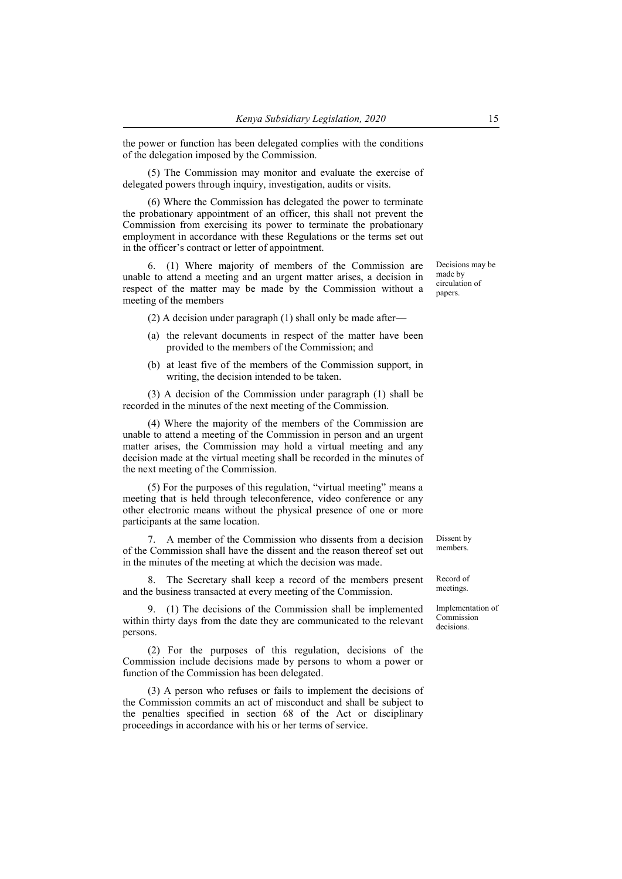the power or function has been delegated complies with the conditions of the delegation imposed by the Commission.

(5) The Commission may monitor and evaluate the exercise of delegated powers through inquiry, investigation, audits or visits.

(6) Where the Commission has delegated the power to terminate the probationary appointment of an officer, this shall not prevent the Commission from exercising its power to terminate the probationary employment in accordance with these Regulations or the terms set out in the officer's contract or letter of appointment.

6. (1) Where majority of members of the Commission are unable to attend a meeting and an urgent matter arises, a decision in respect of the matter may be made by the Commission without a meeting of the members

(2) A decision under paragraph (1) shall only be made after—

- (a) the relevant documents in respect of the matter have been provided to the members of the Commission; and
- (b) at least five of the members of the Commission support, in writing, the decision intended to be taken.

(3) A decision of the Commission under paragraph (1) shall be recorded in the minutes of the next meeting of the Commission.

(4) Where the majority of the members of the Commission are unable to attend a meeting of the Commission in person and an urgent matter arises, the Commission may hold a virtual meeting and any decision made at the virtual meeting shall be recorded in the minutes of the next meeting of the Commission.

(5) For the purposes of this regulation, "virtual meeting" means a meeting that is held through teleconference, video conference or any other electronic means without the physical presence of one or more participants at the same location.

7. A member of the Commission who dissents from a decision of the Commission shall have the dissent and the reason thereof set out in the minutes of the meeting at which the decision was made.

8. The Secretary shall keep a record of the members present and the business transacted at every meeting of the Commission.

9. (1) The decisions of the Commission shall be implemented within thirty days from the date they are communicated to the relevant persons.

(2) For the purposes of this regulation, decisions of the Commission include decisions made by persons to whom a power or function of the Commission has been delegated.

(3) A person who refuses or fails to implement the decisions of the Commission commits an act of misconduct and shall be subject to the penalties specified in section 68 of the Act or disciplinary proceedings in accordance with his or her terms of service.

Decisions may be made by circulation of papers.

Dissent by members.

Record of meetings.

Implementation of Commission decisions.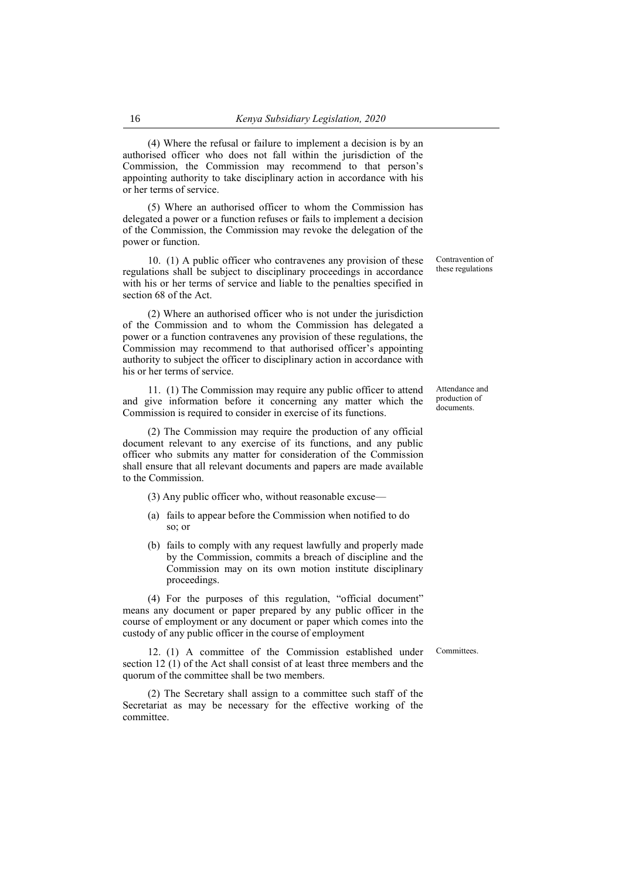(4) Where the refusal or failure to implement a decision is by an authorised officer who does not fall within the jurisdiction of the Commission, the Commission may recommend to that person's appointing authority to take disciplinary action in accordance with his or her terms of service.

(5) Where an authorised officer to whom the Commission has delegated a power or a function refuses or fails to implement a decision of the Commission, the Commission may revoke the delegation of the power or function.

10. (1) A public officer who contravenes any provision of these regulations shall be subject to disciplinary proceedings in accordance with his or her terms of service and liable to the penalties specified in section 68 of the Act.

(2) Where an authorised officer who is not under the jurisdiction of the Commission and to whom the Commission has delegated a power or a function contravenes any provision of these regulations, the Commission may recommend to that authorised officer's appointing authority to subject the officer to disciplinary action in accordance with his or her terms of service.

11. (1) The Commission may require any public officer to attend and give information before it concerning any matter which the Commission is required to consider in exercise of its functions.

(2) The Commission may require the production of any official document relevant to any exercise of its functions, and any public officer who submits any matter for consideration of the Commission shall ensure that all relevant documents and papers are made available to the Commission.

(3) Any public officer who, without reasonable excuse—

- (a) fails to appear before the Commission when notified to do so; or
- (b) fails to comply with any request lawfully and properly made by the Commission, commits a breach of discipline and the Commission may on its own motion institute disciplinary proceedings.

(4) For the purposes of this regulation, "official document" means any document or paper prepared by any public officer in the course of employment or any document or paper which comes into the custody of any public officer in the course of employment

quorum of the committee shall be two members.

committee.

**Committees** 

12. (1) A committee of the Commission established under section 12 (1) of the Act shall consist of at least three members and the

(2) The Secretary shall assign to a committee such staff of the Secretariat as may be necessary for the effective working of the Contravention of these regulations

Attendance and production of documents.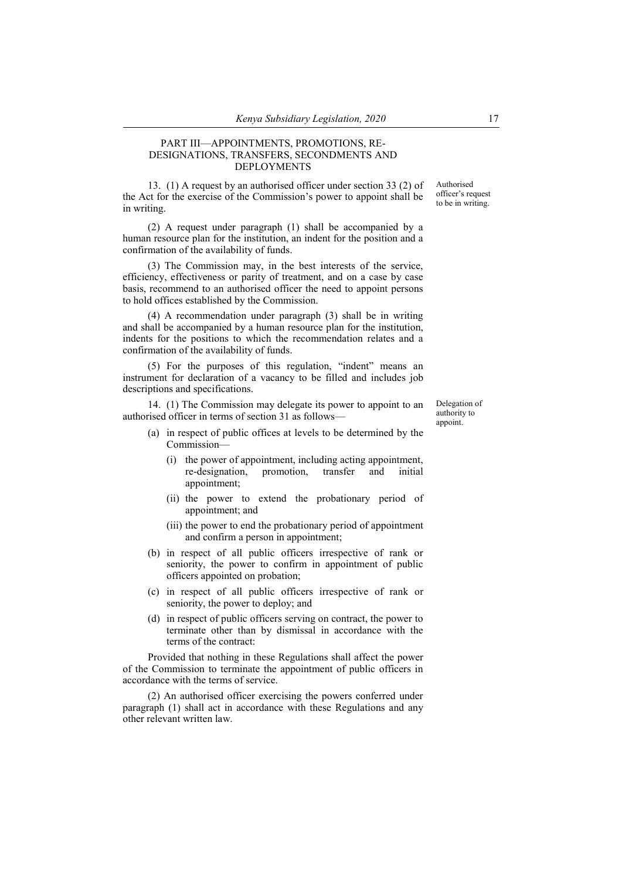## PART III—APPOINTMENTS, PROMOTIONS, RE-DESIGNATIONS, TRANSFERS, SECONDMENTS AND DEPLOYMENTS

13. (1) A request by an authorised officer under section 33 (2) of the Act for the exercise of the Commission's power to appoint shall be in writing.

(2) A request under paragraph (1) shall be accompanied by a human resource plan for the institution, an indent for the position and a confirmation of the availability of funds.

(3) The Commission may, in the best interests of the service, efficiency, effectiveness or parity of treatment, and on a case by case basis, recommend to an authorised officer the need to appoint persons to hold offices established by the Commission.

(4) A recommendation under paragraph (3) shall be in writing and shall be accompanied by a human resource plan for the institution, indents for the positions to which the recommendation relates and a confirmation of the availability of funds.

(5) For the purposes of this regulation, "indent" means an instrument for declaration of a vacancy to be filled and includes job descriptions and specifications.

14. (1) The Commission may delegate its power to appoint to an authorised officer in terms of section 31 as follows—

- (a) in respect of public offices at levels to be determined by the Commission—
	- (i) the power of appointment, including acting appointment, re-designation, promotion, transfer and initial appointment;
	- (ii) the power to extend the probationary period of appointment; and
	- (iii) the power to end the probationary period of appointment and confirm a person in appointment;
- (b) in respect of all public officers irrespective of rank or seniority, the power to confirm in appointment of public officers appointed on probation;
- (c) in respect of all public officers irrespective of rank or seniority, the power to deploy; and
- (d) in respect of public officers serving on contract, the power to terminate other than by dismissal in accordance with the terms of the contract:

Provided that nothing in these Regulations shall affect the power of the Commission to terminate the appointment of public officers in accordance with the terms of service.

(2) An authorised officer exercising the powers conferred under paragraph (1) shall act in accordance with these Regulations and any other relevant written law.

Authorised officer's request to be in writing.

Delegation of authority to appoint.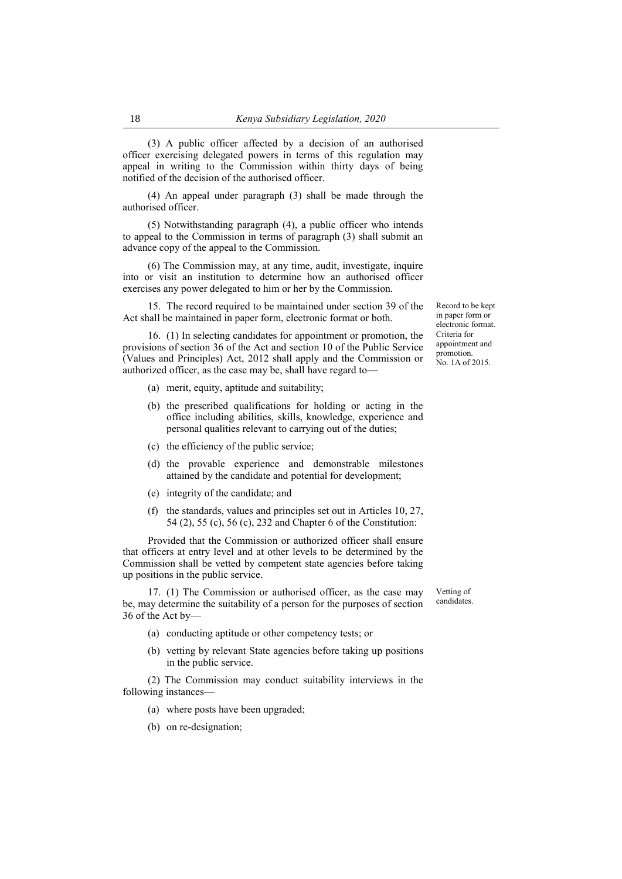(3) A public officer affected by a decision of an authorised officer exercising delegated powers in terms of this regulation may appeal in writing to the Commission within thirty days of being notified of the decision of the authorised officer.

(4) An appeal under paragraph (3) shall be made through the authorised officer.

(5) Notwithstanding paragraph (4), a public officer who intends to appeal to the Commission in terms of paragraph (3) shall submit an advance copy of the appeal to the Commission.

(6) The Commission may, at any time, audit, investigate, inquire into or visit an institution to determine how an authorised officer exercises any power delegated to him or her by the Commission.

15. The record required to be maintained under section 39 of the Act shall be maintained in paper form, electronic format or both.

16. (1) In selecting candidates for appointment or promotion, the provisions of section 36 of the Act and section 10 of the Public Service (Values and Principles) Act, 2012 shall apply and the Commission or authorized officer, as the case may be, shall have regard to—

- (a) merit, equity, aptitude and suitability;
- (b) the prescribed qualifications for holding or acting in the office including abilities, skills, knowledge, experience and personal qualities relevant to carrying out of the duties;
- (c) the efficiency of the public service;
- (d) the provable experience and demonstrable milestones attained by the candidate and potential for development;
- (e) integrity of the candidate; and
- (f) the standards, values and principles set out in Articles 10, 27, 54 (2), 55 (c), 56 (c), 232 and Chapter 6 of the Constitution:

Provided that the Commission or authorized officer shall ensure that officers at entry level and at other levels to be determined by the Commission shall be vetted by competent state agencies before taking up positions in the public service.

17. (1) The Commission or authorised officer, as the case may be, may determine the suitability of a person for the purposes of section 36 of the Act by—

- (a) conducting aptitude or other competency tests; or
- (b) vetting by relevant State agencies before taking up positions in the public service.

(2) The Commission may conduct suitability interviews in the following instances—

- (a) where posts have been upgraded;
- (b) on re-designation;

Record to be kept in paper form or electronic format. Criteria for appointment and promotion. No. 1A of 2015.

Vetting of candidates.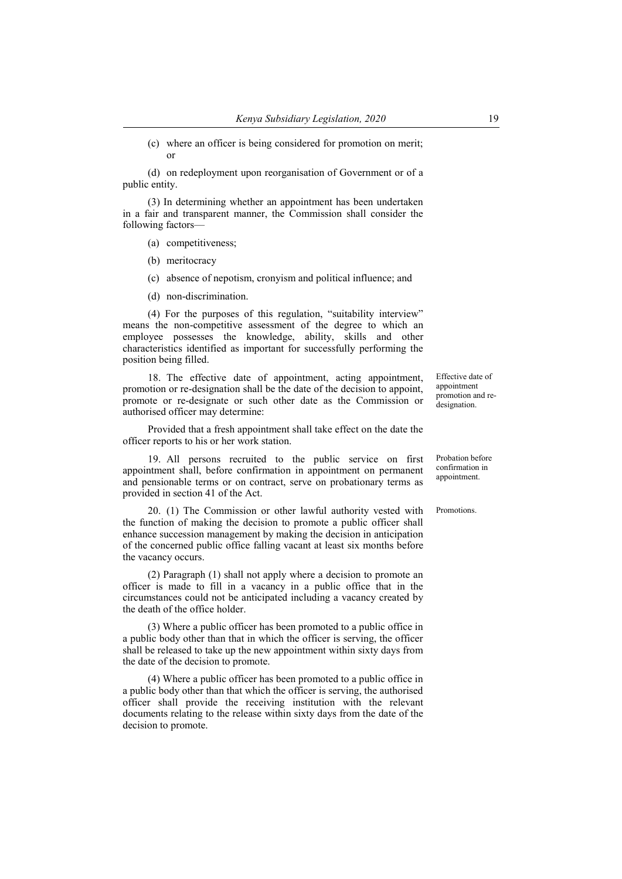(c) where an officer is being considered for promotion on merit; or

(d) on redeployment upon reorganisation of Government or of a public entity.

(3) In determining whether an appointment has been undertaken in a fair and transparent manner, the Commission shall consider the following factors—

(a) competitiveness;

- (b) meritocracy
- (c) absence of nepotism, cronyism and political influence; and
- (d) non-discrimination.

(4) For the purposes of this regulation, "suitability interview" means the non-competitive assessment of the degree to which an employee possesses the knowledge, ability, skills and other characteristics identified as important for successfully performing the position being filled.

18. The effective date of appointment, acting appointment, promotion or re-designation shall be the date of the decision to appoint, promote or re-designate or such other date as the Commission or authorised officer may determine:

Provided that a fresh appointment shall take effect on the date the officer reports to his or her work station.

19. All persons recruited to the public service on first appointment shall, before confirmation in appointment on permanent and pensionable terms or on contract, serve on probationary terms as provided in section 41 of the Act.

20. (1) The Commission or other lawful authority vested with the function of making the decision to promote a public officer shall enhance succession management by making the decision in anticipation of the concerned public office falling vacant at least six months before the vacancy occurs.

(2) Paragraph (1) shall not apply where a decision to promote an officer is made to fill in a vacancy in a public office that in the circumstances could not be anticipated including a vacancy created by the death of the office holder.

(3) Where a public officer has been promoted to a public office in a public body other than that in which the officer is serving, the officer shall be released to take up the new appointment within sixty days from the date of the decision to promote.

(4) Where a public officer has been promoted to a public office in a public body other than that which the officer is serving, the authorised officer shall provide the receiving institution with the relevant documents relating to the release within sixty days from the date of the decision to promote.

Effective date of appointment promotion and redesignation.

Probation before confirmation in appointment.

Promotions.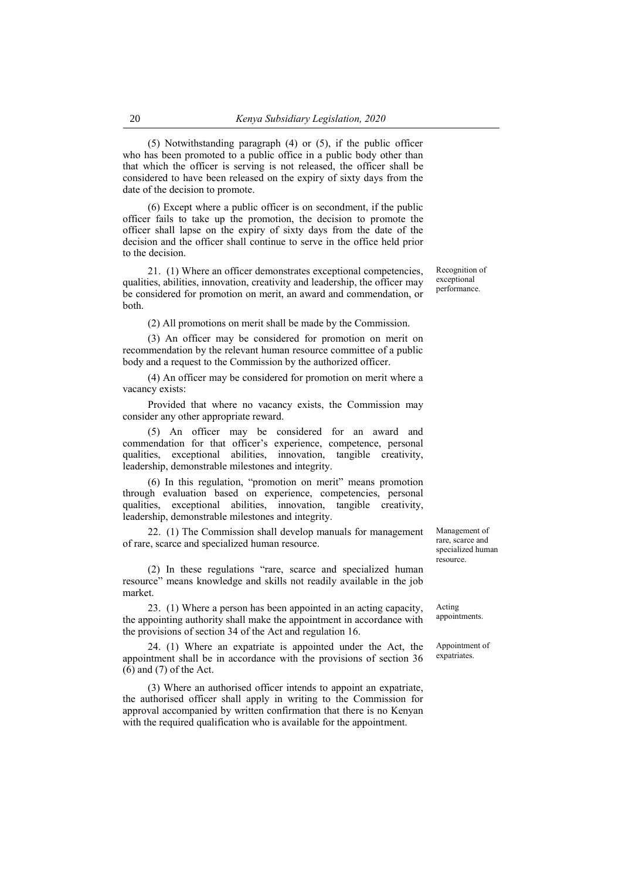(5) Notwithstanding paragraph (4) or (5), if the public officer who has been promoted to a public office in a public body other than that which the officer is serving is not released, the officer shall be considered to have been released on the expiry of sixty days from the date of the decision to promote.

(6) Except where a public officer is on secondment, if the public officer fails to take up the promotion, the decision to promote the officer shall lapse on the expiry of sixty days from the date of the decision and the officer shall continue to serve in the office held prior to the decision.

21. (1) Where an officer demonstrates exceptional competencies, qualities, abilities, innovation, creativity and leadership, the officer may be considered for promotion on merit, an award and commendation, or both.

(2) All promotions on merit shall be made by the Commission.

(3) An officer may be considered for promotion on merit on recommendation by the relevant human resource committee of a public body and a request to the Commission by the authorized officer.

(4) An officer may be considered for promotion on merit where a vacancy exists:

Provided that where no vacancy exists, the Commission may consider any other appropriate reward.

(5) An officer may be considered for an award and commendation for that officer's experience, competence, personal qualities, exceptional abilities, innovation, tangible creativity, leadership, demonstrable milestones and integrity.

(6) In this regulation, "promotion on merit" means promotion through evaluation based on experience, competencies, personal qualities, exceptional abilities, innovation, tangible creativity, leadership, demonstrable milestones and integrity.

22. (1) The Commission shall develop manuals for management of rare, scarce and specialized human resource.

(2) In these regulations "rare, scarce and specialized human resource" means knowledge and skills not readily available in the job market.

23. (1) Where a person has been appointed in an acting capacity, the appointing authority shall make the appointment in accordance with the provisions of section 34 of the Act and regulation 16.

24. (1) Where an expatriate is appointed under the Act, the appointment shall be in accordance with the provisions of section 36 (6) and (7) of the Act.

(3) Where an authorised officer intends to appoint an expatriate, the authorised officer shall apply in writing to the Commission for approval accompanied by written confirmation that there is no Kenyan with the required qualification who is available for the appointment.

Management of rare, scarce and specialized human resource.

Acting appointments.

Appointment of expatriates.

Recognition of exceptional performance.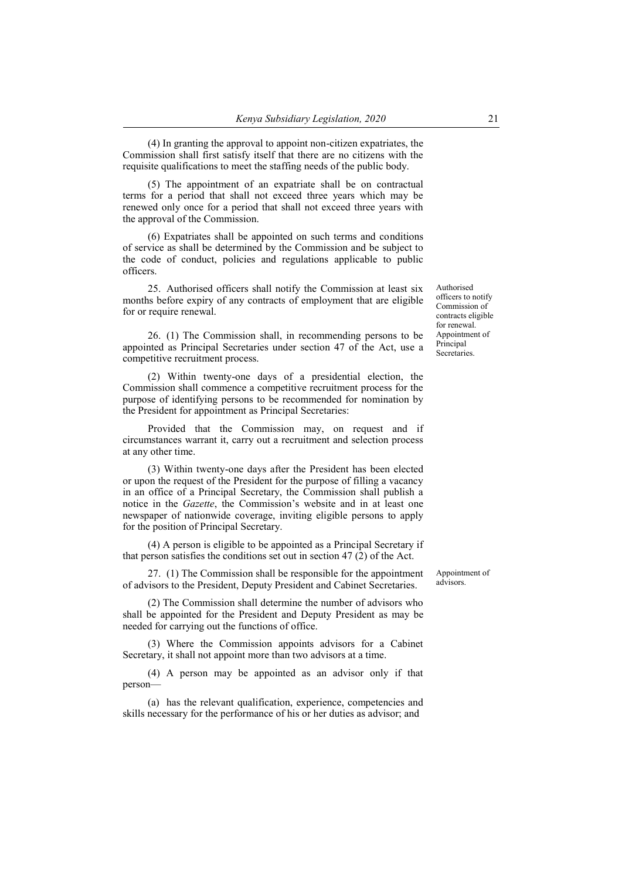(4) In granting the approval to appoint non-citizen expatriates, the Commission shall first satisfy itself that there are no citizens with the requisite qualifications to meet the staffing needs of the public body.

(5) The appointment of an expatriate shall be on contractual terms for a period that shall not exceed three years which may be renewed only once for a period that shall not exceed three years with the approval of the Commission.

(6) Expatriates shall be appointed on such terms and conditions of service as shall be determined by the Commission and be subject to the code of conduct, policies and regulations applicable to public officers.

25. Authorised officers shall notify the Commission at least six months before expiry of any contracts of employment that are eligible for or require renewal.

26. (1) The Commission shall, in recommending persons to be appointed as Principal Secretaries under section 47 of the Act, use a competitive recruitment process.

(2) Within twenty-one days of a presidential election, the Commission shall commence a competitive recruitment process for the purpose of identifying persons to be recommended for nomination by the President for appointment as Principal Secretaries:

Provided that the Commission may, on request and if circumstances warrant it, carry out a recruitment and selection process at any other time.

(3) Within twenty-one days after the President has been elected or upon the request of the President for the purpose of filling a vacancy in an office of a Principal Secretary, the Commission shall publish a notice in the *Gazette*, the Commission's website and in at least one newspaper of nationwide coverage, inviting eligible persons to apply for the position of Principal Secretary.

(4) A person is eligible to be appointed as a Principal Secretary if that person satisfies the conditions set out in section 47 (2) of the Act.

27. (1) The Commission shall be responsible for the appointment of advisors to the President, Deputy President and Cabinet Secretaries.

(2) The Commission shall determine the number of advisors who shall be appointed for the President and Deputy President as may be needed for carrying out the functions of office.

(3) Where the Commission appoints advisors for a Cabinet Secretary, it shall not appoint more than two advisors at a time.

(4) A person may be appointed as an advisor only if that person—

(a) has the relevant qualification, experience, competencies and skills necessary for the performance of his or her duties as advisor; and

Appointment of

advisors.

Authorised officers to notify Commission of contracts eligible for renewal. Appointment of Principal Secretaries.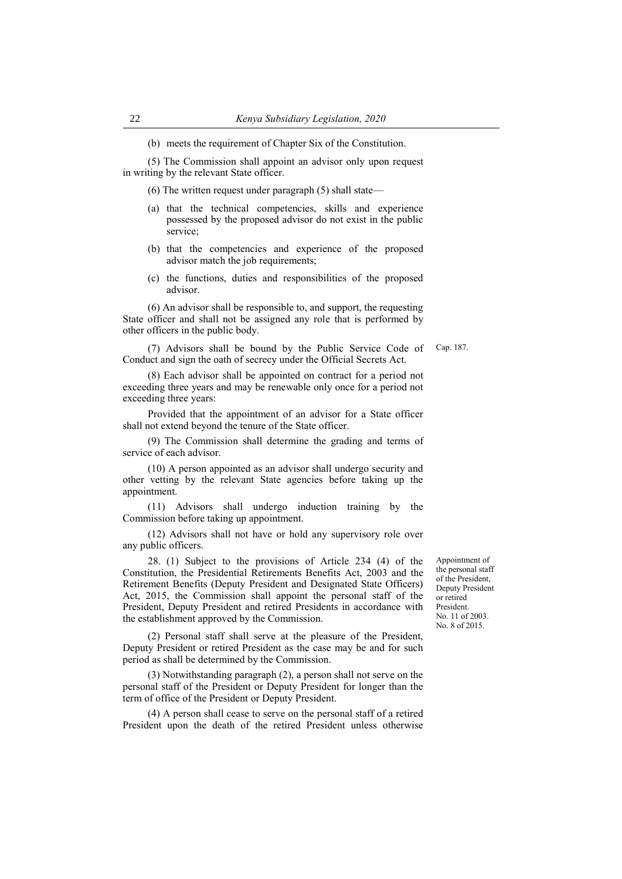(b) meets the requirement of Chapter Six of the Constitution.

(5) The Commission shall appoint an advisor only upon request in writing by the relevant State officer.

(6) The written request under paragraph (5) shall state—

- (a) that the technical competencies, skills and experience possessed by the proposed advisor do not exist in the public service;
- (b) that the competencies and experience of the proposed advisor match the job requirements;
- (c) the functions, duties and responsibilities of the proposed advisor.

(6) An advisor shall be responsible to, and support, the requesting State officer and shall not be assigned any role that is performed by other officers in the public body.

(7) Advisors shall be bound by the Public Service Code of Conduct and sign the oath of secrecy under the Official Secrets Act.

(8) Each advisor shall be appointed on contract for a period not exceeding three years and may be renewable only once for a period not exceeding three years:

Provided that the appointment of an advisor for a State officer shall not extend beyond the tenure of the State officer.

(9) The Commission shall determine the grading and terms of service of each advisor.

(10) A person appointed as an advisor shall undergo security and other vetting by the relevant State agencies before taking up the appointment.

(11) Advisors shall undergo induction training by the Commission before taking up appointment.

(12) Advisors shall not have or hold any supervisory role over any public officers.

28. (1) Subject to the provisions of Article 234 (4) of the Constitution, the Presidential Retirements Benefits Act, 2003 and the Retirement Benefits (Deputy President and Designated State Officers) Act, 2015, the Commission shall appoint the personal staff of the President, Deputy President and retired Presidents in accordance with the establishment approved by the Commission.

(2) Personal staff shall serve at the pleasure of the President, Deputy President or retired President as the case may be and for such period as shall be determined by the Commission.

(3) Notwithstanding paragraph (2), a person shall not serve on the personal staff of the President or Deputy President for longer than the term of office of the President or Deputy President.

(4) A person shall cease to serve on the personal staff of a retired President upon the death of the retired President unless otherwise Appointment of the personal staff of the President, Deputy President or retired President. No. 11 of 2003. No. 8 of 2015.

Cap. 187.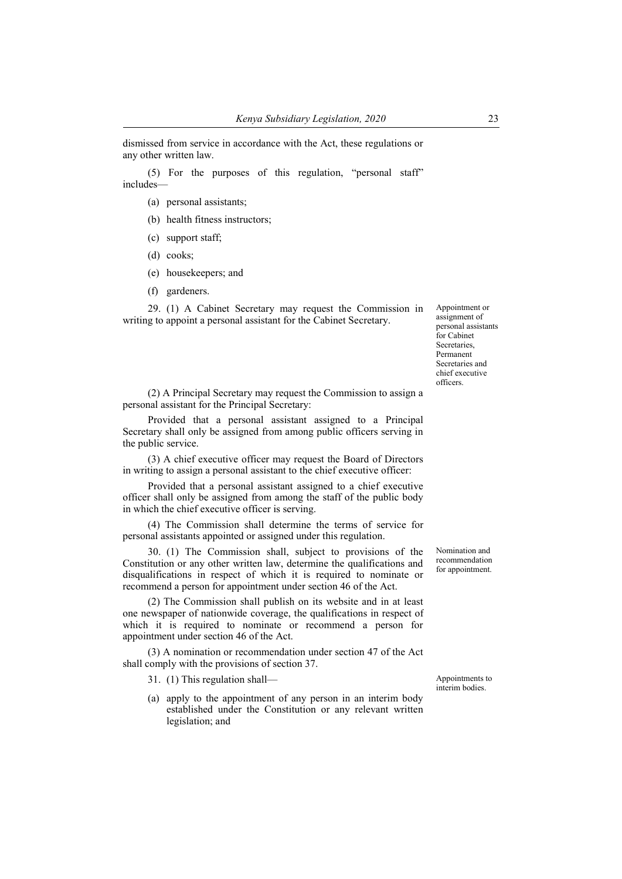dismissed from service in accordance with the Act, these regulations or any other written law.

(5) For the purposes of this regulation, "personal staff" includes—

- (a) personal assistants;
- (b) health fitness instructors;
- (c) support staff;
- (d) cooks;
- (e) housekeepers; and
- (f) gardeners.

29. (1) A Cabinet Secretary may request the Commission in writing to appoint a personal assistant for the Cabinet Secretary.

Appointment or assignment of personal assistants for Cabinet Secretaries, Permanent Secretaries and chief executive officers.

(2) A Principal Secretary may request the Commission to assign a personal assistant for the Principal Secretary:

Provided that a personal assistant assigned to a Principal Secretary shall only be assigned from among public officers serving in the public service.

(3) A chief executive officer may request the Board of Directors in writing to assign a personal assistant to the chief executive officer:

Provided that a personal assistant assigned to a chief executive officer shall only be assigned from among the staff of the public body in which the chief executive officer is serving.

(4) The Commission shall determine the terms of service for personal assistants appointed or assigned under this regulation.

30. (1) The Commission shall, subject to provisions of the Constitution or any other written law, determine the qualifications and disqualifications in respect of which it is required to nominate or recommend a person for appointment under section 46 of the Act.

(2) The Commission shall publish on its website and in at least one newspaper of nationwide coverage, the qualifications in respect of which it is required to nominate or recommend a person for appointment under section 46 of the Act.

(3) A nomination or recommendation under section 47 of the Act shall comply with the provisions of section 37.

31. (1) This regulation shall— Appointments to

(a) apply to the appointment of any person in an interim body established under the Constitution or any relevant written legislation; and

Nomination and recommendation for appointment.

interim bodies.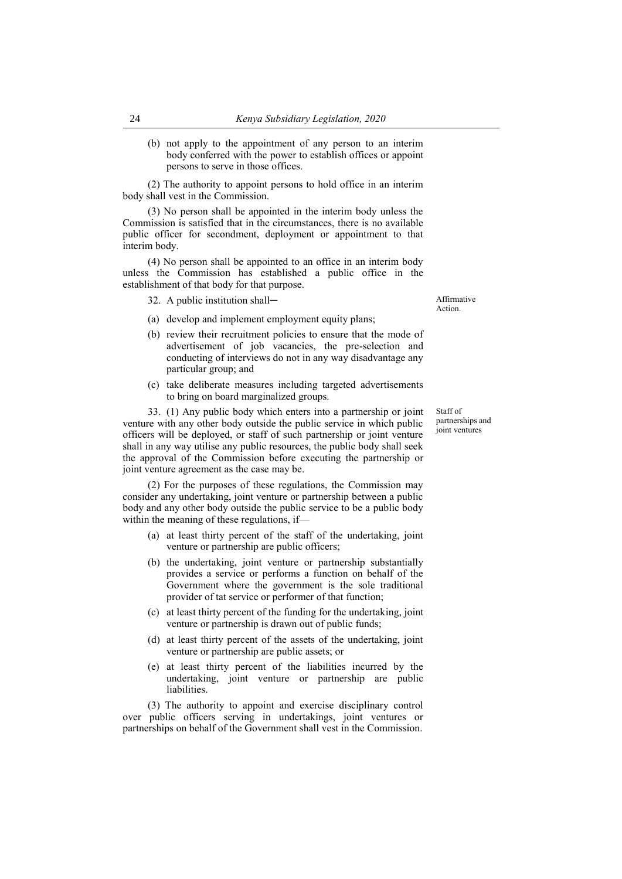(b) not apply to the appointment of any person to an interim body conferred with the power to establish offices or appoint persons to serve in those offices.

(2) The authority to appoint persons to hold office in an interim body shall vest in the Commission.

(3) No person shall be appointed in the interim body unless the Commission is satisfied that in the circumstances, there is no available public officer for secondment, deployment or appointment to that interim body.

(4) No person shall be appointed to an office in an interim body unless the Commission has established a public office in the establishment of that body for that purpose.

32. A public institution shall— Affirmative

- (a) develop and implement employment equity plans;
- (b) review their recruitment policies to ensure that the mode of advertisement of job vacancies, the pre-selection and conducting of interviews do not in any way disadvantage any particular group; and
- (c) take deliberate measures including targeted advertisements to bring on board marginalized groups.

33. (1) Any public body which enters into a partnership or joint venture with any other body outside the public service in which public officers will be deployed, or staff of such partnership or joint venture shall in any way utilise any public resources, the public body shall seek the approval of the Commission before executing the partnership or joint venture agreement as the case may be.

(2) For the purposes of these regulations, the Commission may consider any undertaking, joint venture or partnership between a public body and any other body outside the public service to be a public body within the meaning of these regulations, if—

- (a) at least thirty percent of the staff of the undertaking, joint venture or partnership are public officers;
- (b) the undertaking, joint venture or partnership substantially provides a service or performs a function on behalf of the Government where the government is the sole traditional provider of tat service or performer of that function;
- (c) at least thirty percent of the funding for the undertaking, joint venture or partnership is drawn out of public funds;
- (d) at least thirty percent of the assets of the undertaking, joint venture or partnership are public assets; or
- (e) at least thirty percent of the liabilities incurred by the undertaking, joint venture or partnership are public liabilities.

(3) The authority to appoint and exercise disciplinary control over public officers serving in undertakings, joint ventures or partnerships on behalf of the Government shall vest in the Commission.

Staff of partnerships and joint ventures

Action.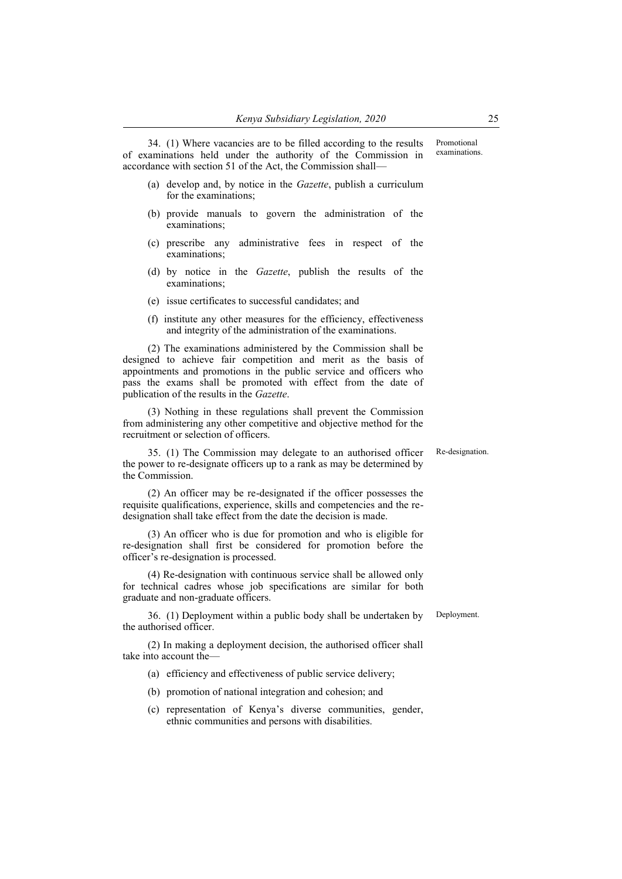34. (1) Where vacancies are to be filled according to the results of examinations held under the authority of the Commission in accordance with section 51 of the Act, the Commission shall—

- (a) develop and, by notice in the *Gazette*, publish a curriculum for the examinations;
- (b) provide manuals to govern the administration of the examinations;
- (c) prescribe any administrative fees in respect of the examinations;
- (d) by notice in the *Gazette*, publish the results of the examinations;
- (e) issue certificates to successful candidates; and
- (f) institute any other measures for the efficiency, effectiveness and integrity of the administration of the examinations.

(2) The examinations administered by the Commission shall be designed to achieve fair competition and merit as the basis of appointments and promotions in the public service and officers who pass the exams shall be promoted with effect from the date of publication of the results in the *Gazette*.

(3) Nothing in these regulations shall prevent the Commission from administering any other competitive and objective method for the recruitment or selection of officers.

35. (1) The Commission may delegate to an authorised officer the power to re-designate officers up to a rank as may be determined by the Commission.

(2) An officer may be re-designated if the officer possesses the requisite qualifications, experience, skills and competencies and the redesignation shall take effect from the date the decision is made.

(3) An officer who is due for promotion and who is eligible for re-designation shall first be considered for promotion before the officer's re-designation is processed.

(4) Re-designation with continuous service shall be allowed only for technical cadres whose job specifications are similar for both graduate and non-graduate officers.

36. (1) Deployment within a public body shall be undertaken by the authorised officer.

(2) In making a deployment decision, the authorised officer shall take into account the—

- (a) efficiency and effectiveness of public service delivery;
- (b) promotion of national integration and cohesion; and
- (c) representation of Kenya's diverse communities, gender, ethnic communities and persons with disabilities.

Re-designation.

Promotional examinations.

Deployment.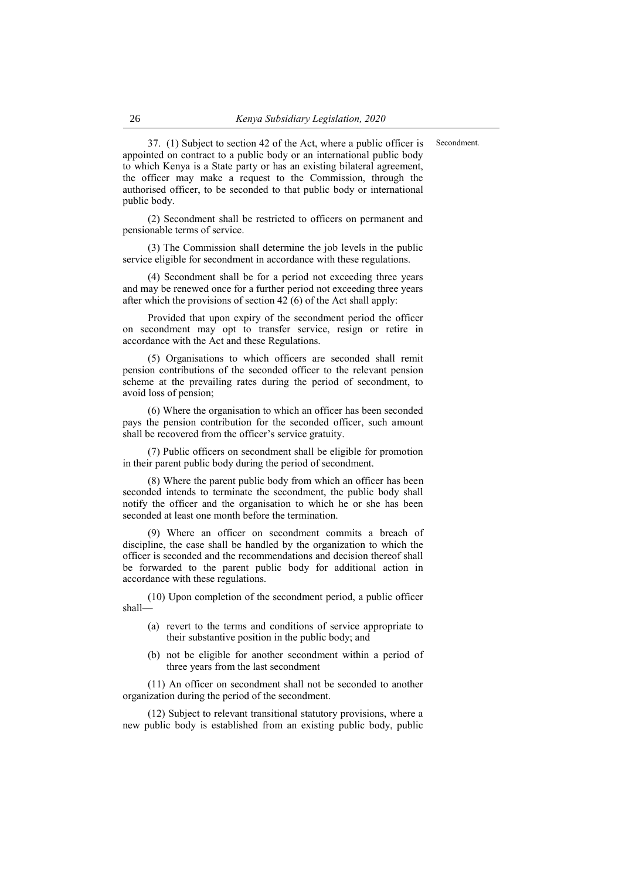Secondment.

37. (1) Subject to section 42 of the Act, where a public officer is appointed on contract to a public body or an international public body to which Kenya is a State party or has an existing bilateral agreement, the officer may make a request to the Commission, through the authorised officer, to be seconded to that public body or international public body.

(2) Secondment shall be restricted to officers on permanent and pensionable terms of service.

(3) The Commission shall determine the job levels in the public service eligible for secondment in accordance with these regulations.

(4) Secondment shall be for a period not exceeding three years and may be renewed once for a further period not exceeding three years after which the provisions of section 42 (6) of the Act shall apply:

Provided that upon expiry of the secondment period the officer on secondment may opt to transfer service, resign or retire in accordance with the Act and these Regulations.

(5) Organisations to which officers are seconded shall remit pension contributions of the seconded officer to the relevant pension scheme at the prevailing rates during the period of secondment, to avoid loss of pension;

(6) Where the organisation to which an officer has been seconded pays the pension contribution for the seconded officer, such amount shall be recovered from the officer's service gratuity.

(7) Public officers on secondment shall be eligible for promotion in their parent public body during the period of secondment.

(8) Where the parent public body from which an officer has been seconded intends to terminate the secondment, the public body shall notify the officer and the organisation to which he or she has been seconded at least one month before the termination.

(9) Where an officer on secondment commits a breach of discipline, the case shall be handled by the organization to which the officer is seconded and the recommendations and decision thereof shall be forwarded to the parent public body for additional action in accordance with these regulations.

(10) Upon completion of the secondment period, a public officer shall—

- (a) revert to the terms and conditions of service appropriate to their substantive position in the public body; and
- (b) not be eligible for another secondment within a period of three years from the last secondment

(11) An officer on secondment shall not be seconded to another organization during the period of the secondment.

(12) Subject to relevant transitional statutory provisions, where a new public body is established from an existing public body, public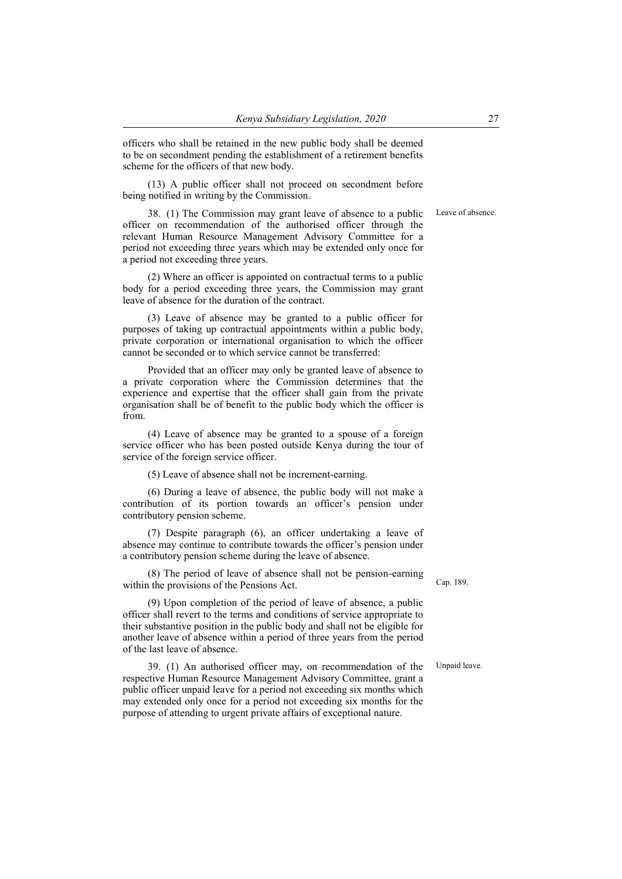officers who shall be retained in the new public body shall be deemed to be on secondment pending the establishment of a retirement benefits scheme for the officers of that new body.

(13) A public officer shall not proceed on secondment before being notified in writing by the Commission.

Leave of absence.

38. (1) The Commission may grant leave of absence to a public officer on recommendation of the authorised officer through the relevant Human Resource Management Advisory Committee for a period not exceeding three years which may be extended only once for a period not exceeding three years.

(2) Where an officer is appointed on contractual terms to a public body for a period exceeding three years, the Commission may grant leave of absence for the duration of the contract.

(3) Leave of absence may be granted to a public officer for purposes of taking up contractual appointments within a public body, private corporation or international organisation to which the officer cannot be seconded or to which service cannot be transferred:

Provided that an officer may only be granted leave of absence to a private corporation where the Commission determines that the experience and expertise that the officer shall gain from the private organisation shall be of benefit to the public body which the officer is from.

(4) Leave of absence may be granted to a spouse of a foreign service officer who has been posted outside Kenya during the tour of service of the foreign service officer.

(5) Leave of absence shall not be increment-earning.

(6) During a leave of absence, the public body will not make a contribution of its portion towards an officer's pension under contributory pension scheme.

(7) Despite paragraph (6), an officer undertaking a leave of absence may continue to contribute towards the officer's pension under a contributory pension scheme during the leave of absence.

(8) The period of leave of absence shall not be pension-earning within the provisions of the Pensions Act. Cap. 189.

(9) Upon completion of the period of leave of absence, a public officer shall revert to the terms and conditions of service appropriate to their substantive position in the public body and shall not be eligible for another leave of absence within a period of three years from the period of the last leave of absence.

39. (1) An authorised officer may, on recommendation of the respective Human Resource Management Advisory Committee, grant a public officer unpaid leave for a period not exceeding six months which may extended only once for a period not exceeding six months for the purpose of attending to urgent private affairs of exceptional nature.

Unpaid leave.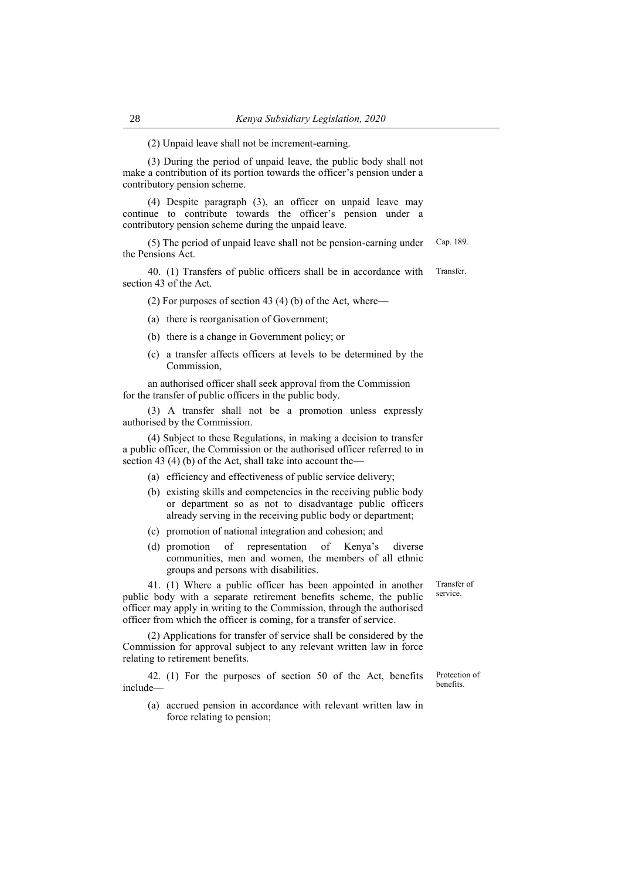(2) Unpaid leave shall not be increment-earning.

(3) During the period of unpaid leave, the public body shall not make a contribution of its portion towards the officer's pension under a contributory pension scheme.

(4) Despite paragraph (3), an officer on unpaid leave may continue to contribute towards the officer's pension under a contributory pension scheme during the unpaid leave.

(5) The period of unpaid leave shall not be pension-earning under the Pensions Act. Cap. 189.

40. (1) Transfers of public officers shall be in accordance with section 43 of the Act. Transfer.

(2) For purposes of section 43 (4) (b) of the Act, where—

(a) there is reorganisation of Government;

- (b) there is a change in Government policy; or
- (c) a transfer affects officers at levels to be determined by the Commission,

an authorised officer shall seek approval from the Commission for the transfer of public officers in the public body.

(3) A transfer shall not be a promotion unless expressly authorised by the Commission.

(4) Subject to these Regulations, in making a decision to transfer a public officer, the Commission or the authorised officer referred to in section 43 (4) (b) of the Act, shall take into account the–

- (a) efficiency and effectiveness of public service delivery;
- (b) existing skills and competencies in the receiving public body or department so as not to disadvantage public officers already serving in the receiving public body or department;
- (c) promotion of national integration and cohesion; and
- (d) promotion of representation of Kenya's diverse communities, men and women, the members of all ethnic groups and persons with disabilities.

41. (1) Where a public officer has been appointed in another public body with a separate retirement benefits scheme, the public officer may apply in writing to the Commission, through the authorised officer from which the officer is coming, for a transfer of service.

(2) Applications for transfer of service shall be considered by the Commission for approval subject to any relevant written law in force relating to retirement benefits.

42. (1) For the purposes of section 50 of the Act, benefits include—

(a) accrued pension in accordance with relevant written law in force relating to pension;

service.

Transfer of

Protection of benefits.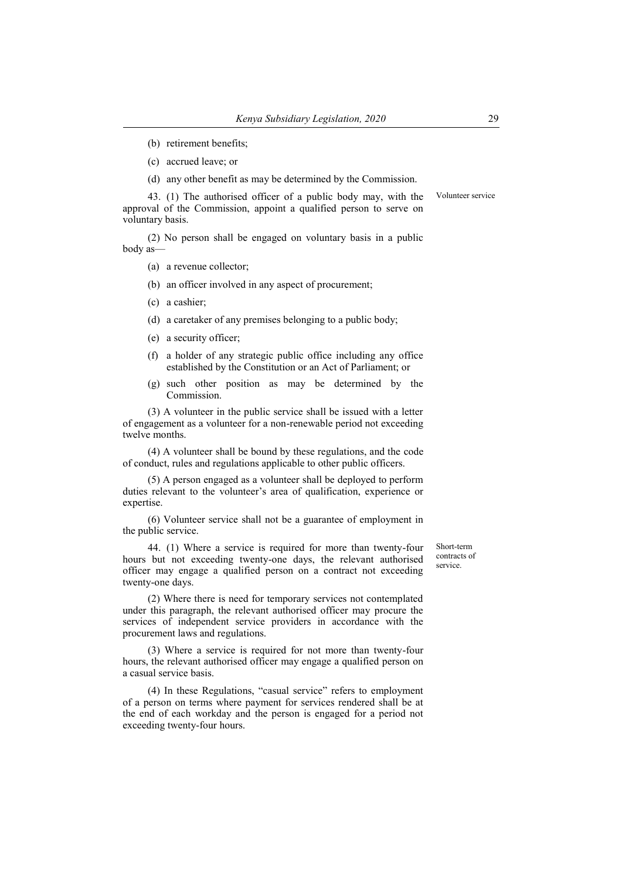- (b) retirement benefits;
- (c) accrued leave; or
- (d) any other benefit as may be determined by the Commission.

43. (1) The authorised officer of a public body may, with the approval of the Commission, appoint a qualified person to serve on voluntary basis. Volunteer service

(2) No person shall be engaged on voluntary basis in a public body as—

- (a) a revenue collector;
- (b) an officer involved in any aspect of procurement;
- (c) a cashier;
- (d) a caretaker of any premises belonging to a public body;
- (e) a security officer;
- (f) a holder of any strategic public office including any office established by the Constitution or an Act of Parliament; or
- (g) such other position as may be determined by the Commission.

(3) A volunteer in the public service shall be issued with a letter of engagement as a volunteer for a non-renewable period not exceeding twelve months.

(4) A volunteer shall be bound by these regulations, and the code of conduct, rules and regulations applicable to other public officers.

(5) A person engaged as a volunteer shall be deployed to perform duties relevant to the volunteer's area of qualification, experience or expertise.

(6) Volunteer service shall not be a guarantee of employment in the public service.

44. (1) Where a service is required for more than twenty-four hours but not exceeding twenty-one days, the relevant authorised officer may engage a qualified person on a contract not exceeding twenty-one days.

(2) Where there is need for temporary services not contemplated under this paragraph, the relevant authorised officer may procure the services of independent service providers in accordance with the procurement laws and regulations.

(3) Where a service is required for not more than twenty-four hours, the relevant authorised officer may engage a qualified person on a casual service basis.

(4) In these Regulations, "casual service" refers to employment of a person on terms where payment for services rendered shall be at the end of each workday and the person is engaged for a period not exceeding twenty-four hours.

Short-term contracts of service.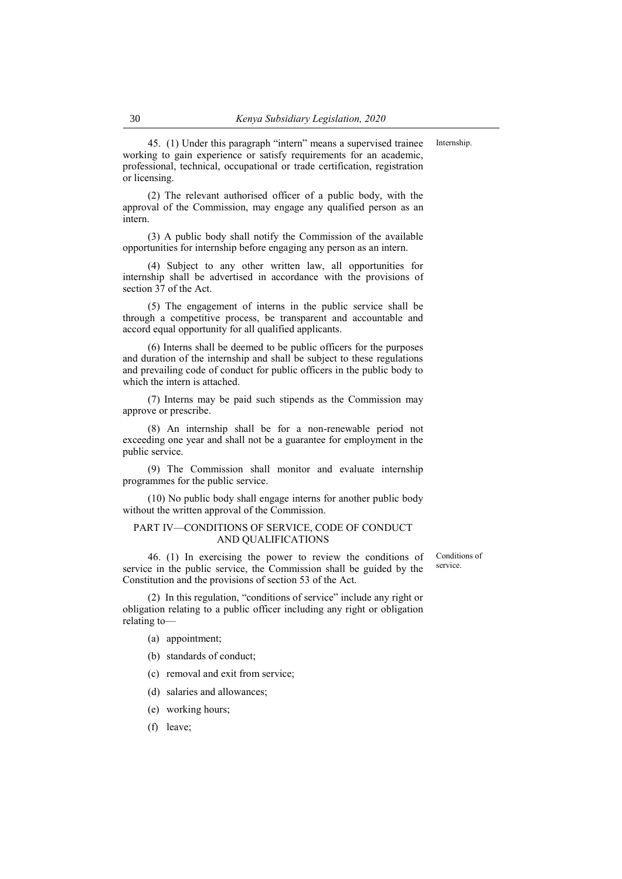45. (1) Under this paragraph "intern" means a supervised trainee working to gain experience or satisfy requirements for an academic, professional, technical, occupational or trade certification, registration or licensing.

(2) The relevant authorised officer of a public body, with the approval of the Commission, may engage any qualified person as an intern.

(3) A public body shall notify the Commission of the available opportunities for internship before engaging any person as an intern.

(4) Subject to any other written law, all opportunities for internship shall be advertised in accordance with the provisions of section 37 of the Act.

(5) The engagement of interns in the public service shall be through a competitive process, be transparent and accountable and accord equal opportunity for all qualified applicants.

(6) Interns shall be deemed to be public officers for the purposes and duration of the internship and shall be subject to these regulations and prevailing code of conduct for public officers in the public body to which the intern is attached.

(7) Interns may be paid such stipends as the Commission may approve or prescribe.

(8) An internship shall be for a non-renewable period not exceeding one year and shall not be a guarantee for employment in the public service.

(9) The Commission shall monitor and evaluate internship programmes for the public service.

(10) No public body shall engage interns for another public body without the written approval of the Commission.

#### PART IV—CONDITIONS OF SERVICE, CODE OF CONDUCT AND QUALIFICATIONS

46. (1) In exercising the power to review the conditions of service in the public service, the Commission shall be guided by the Constitution and the provisions of section 53 of the Act.

(2) In this regulation, "conditions of service" include any right or obligation relating to a public officer including any right or obligation relating to—

(a) appointment;

(b) standards of conduct;

- (c) removal and exit from service;
- (d) salaries and allowances;
- (e) working hours;
- (f) leave;

Conditions of service.

Internship.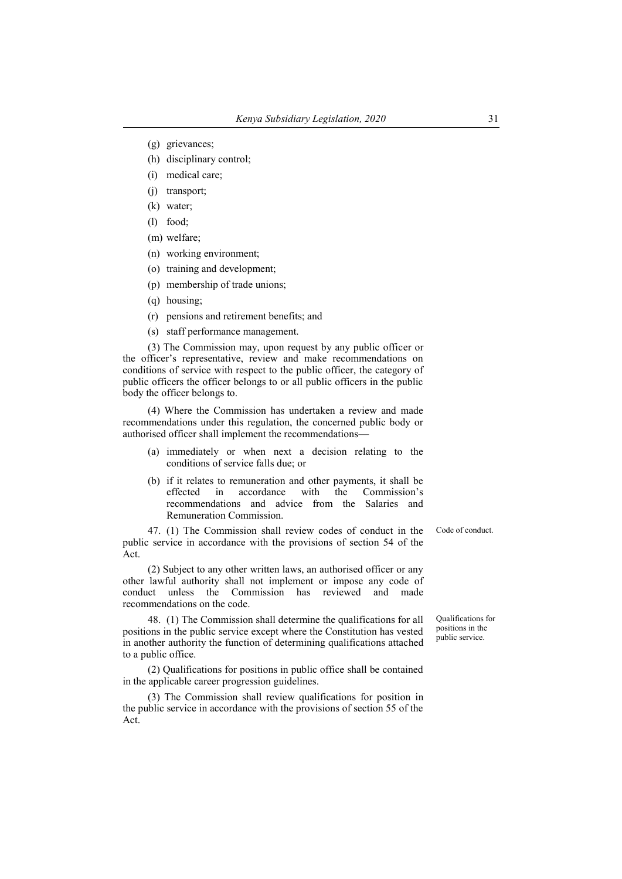- (g) grievances;
- (h) disciplinary control;
- (i) medical care;
- (j) transport;
- (k) water;
- (l) food;
- (m) welfare;
- (n) working environment;
- (o) training and development;
- (p) membership of trade unions;
- (q) housing;
- (r) pensions and retirement benefits; and
- (s) staff performance management.

(3) The Commission may, upon request by any public officer or the officer's representative, review and make recommendations on conditions of service with respect to the public officer, the category of public officers the officer belongs to or all public officers in the public body the officer belongs to.

(4) Where the Commission has undertaken a review and made recommendations under this regulation, the concerned public body or authorised officer shall implement the recommendations—

- (a) immediately or when next a decision relating to the conditions of service falls due; or
- (b) if it relates to remuneration and other payments, it shall be effected in accordance with the Commission's recommendations and advice from the Salaries and Remuneration Commission.

47. (1) The Commission shall review codes of conduct in the public service in accordance with the provisions of section 54 of the Act.

(2) Subject to any other written laws, an authorised officer or any other lawful authority shall not implement or impose any code of conduct unless the Commission has reviewed and made recommendations on the code.

48. (1) The Commission shall determine the qualifications for all positions in the public service except where the Constitution has vested in another authority the function of determining qualifications attached to a public office.

(2) Qualifications for positions in public office shall be contained in the applicable career progression guidelines.

(3) The Commission shall review qualifications for position in the public service in accordance with the provisions of section 55 of the Act.

Qualifications for positions in the

public service.

Code of conduct.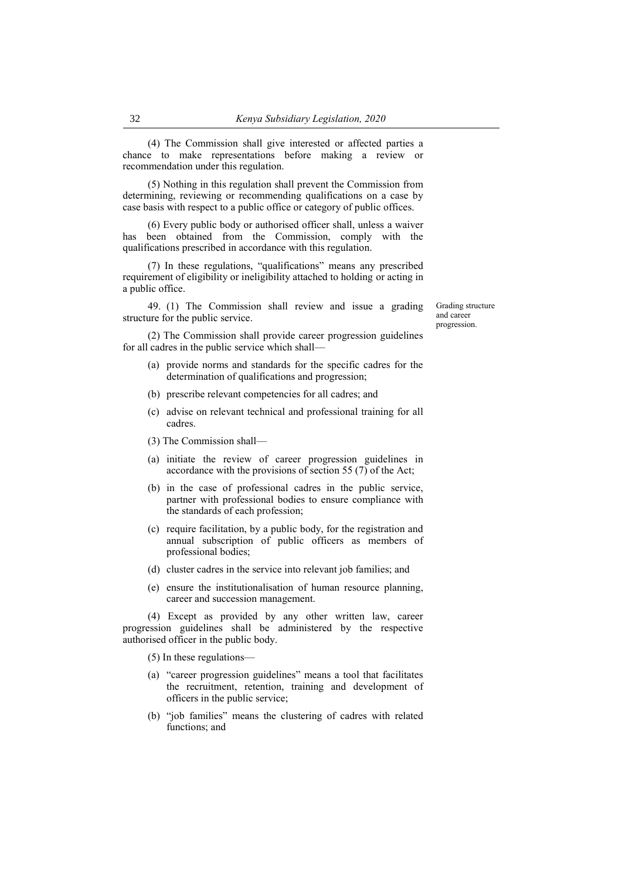(4) The Commission shall give interested or affected parties a chance to make representations before making a review or recommendation under this regulation.

(5) Nothing in this regulation shall prevent the Commission from determining, reviewing or recommending qualifications on a case by case basis with respect to a public office or category of public offices.

(6) Every public body or authorised officer shall, unless a waiver has been obtained from the Commission, comply with the qualifications prescribed in accordance with this regulation.

(7) In these regulations, "qualifications" means any prescribed requirement of eligibility or ineligibility attached to holding or acting in a public office.

49. (1) The Commission shall review and issue a grading structure for the public service.

Grading structure and career progression.

(2) The Commission shall provide career progression guidelines for all cadres in the public service which shall—

- (a) provide norms and standards for the specific cadres for the determination of qualifications and progression;
- (b) prescribe relevant competencies for all cadres; and
- (c) advise on relevant technical and professional training for all cadres.
- (3) The Commission shall—
- (a) initiate the review of career progression guidelines in accordance with the provisions of section 55 (7) of the Act;
- (b) in the case of professional cadres in the public service, partner with professional bodies to ensure compliance with the standards of each profession;
- (c) require facilitation, by a public body, for the registration and annual subscription of public officers as members of professional bodies;
- (d) cluster cadres in the service into relevant job families; and
- (e) ensure the institutionalisation of human resource planning, career and succession management.

(4) Except as provided by any other written law, career progression guidelines shall be administered by the respective authorised officer in the public body.

(5) In these regulations—

- (a) "career progression guidelines" means a tool that facilitates the recruitment, retention, training and development of officers in the public service;
- (b) "job families" means the clustering of cadres with related functions: and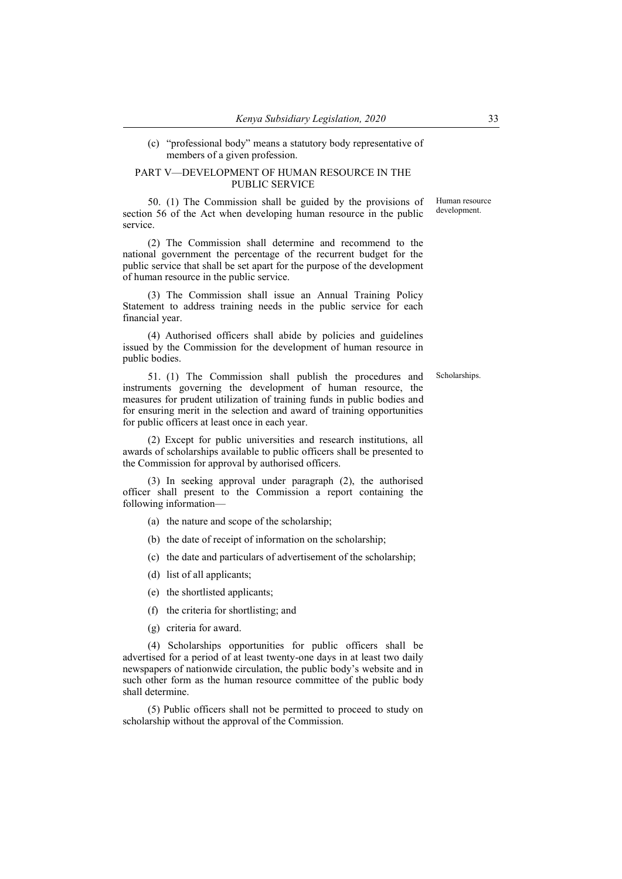#### (c) "professional body" means a statutory body representative of members of a given profession.

#### PART V—DEVELOPMENT OF HUMAN RESOURCE IN THE PUBLIC SERVICE

50. (1) The Commission shall be guided by the provisions of section 56 of the Act when developing human resource in the public service. Human resource development.

(2) The Commission shall determine and recommend to the national government the percentage of the recurrent budget for the public service that shall be set apart for the purpose of the development of human resource in the public service.

(3) The Commission shall issue an Annual Training Policy Statement to address training needs in the public service for each financial year.

(4) Authorised officers shall abide by policies and guidelines issued by the Commission for the development of human resource in public bodies.

51. (1) The Commission shall publish the procedures and instruments governing the development of human resource, the measures for prudent utilization of training funds in public bodies and for ensuring merit in the selection and award of training opportunities for public officers at least once in each year.

(2) Except for public universities and research institutions, all awards of scholarships available to public officers shall be presented to the Commission for approval by authorised officers.

(3) In seeking approval under paragraph (2), the authorised officer shall present to the Commission a report containing the following information—

- (a) the nature and scope of the scholarship;
- (b) the date of receipt of information on the scholarship;
- (c) the date and particulars of advertisement of the scholarship;
- (d) list of all applicants;
- (e) the shortlisted applicants;
- (f) the criteria for shortlisting; and
- (g) criteria for award.

(4) Scholarships opportunities for public officers shall be advertised for a period of at least twenty-one days in at least two daily newspapers of nationwide circulation, the public body's website and in such other form as the human resource committee of the public body shall determine.

(5) Public officers shall not be permitted to proceed to study on scholarship without the approval of the Commission.

Scholarships.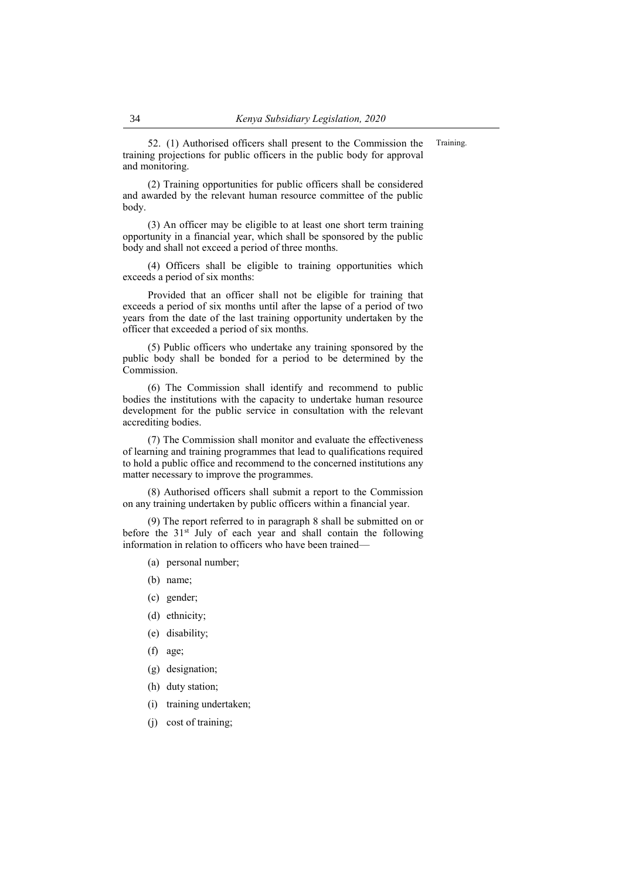52. (1) Authorised officers shall present to the Commission the training projections for public officers in the public body for approval and monitoring. Training.

(2) Training opportunities for public officers shall be considered and awarded by the relevant human resource committee of the public body.

(3) An officer may be eligible to at least one short term training opportunity in a financial year, which shall be sponsored by the public body and shall not exceed a period of three months.

(4) Officers shall be eligible to training opportunities which exceeds a period of six months:

Provided that an officer shall not be eligible for training that exceeds a period of six months until after the lapse of a period of two years from the date of the last training opportunity undertaken by the officer that exceeded a period of six months.

(5) Public officers who undertake any training sponsored by the public body shall be bonded for a period to be determined by the Commission.

(6) The Commission shall identify and recommend to public bodies the institutions with the capacity to undertake human resource development for the public service in consultation with the relevant accrediting bodies.

(7) The Commission shall monitor and evaluate the effectiveness of learning and training programmes that lead to qualifications required to hold a public office and recommend to the concerned institutions any matter necessary to improve the programmes.

(8) Authorised officers shall submit a report to the Commission on any training undertaken by public officers within a financial year.

(9) The report referred to in paragraph 8 shall be submitted on or before the  $31<sup>st</sup>$  July of each year and shall contain the following information in relation to officers who have been trained—

- (a) personal number;
- (b) name;
- (c) gender;
- (d) ethnicity;
- (e) disability;
- (f) age;
- (g) designation;
- (h) duty station;
- (i) training undertaken;
- (j) cost of training;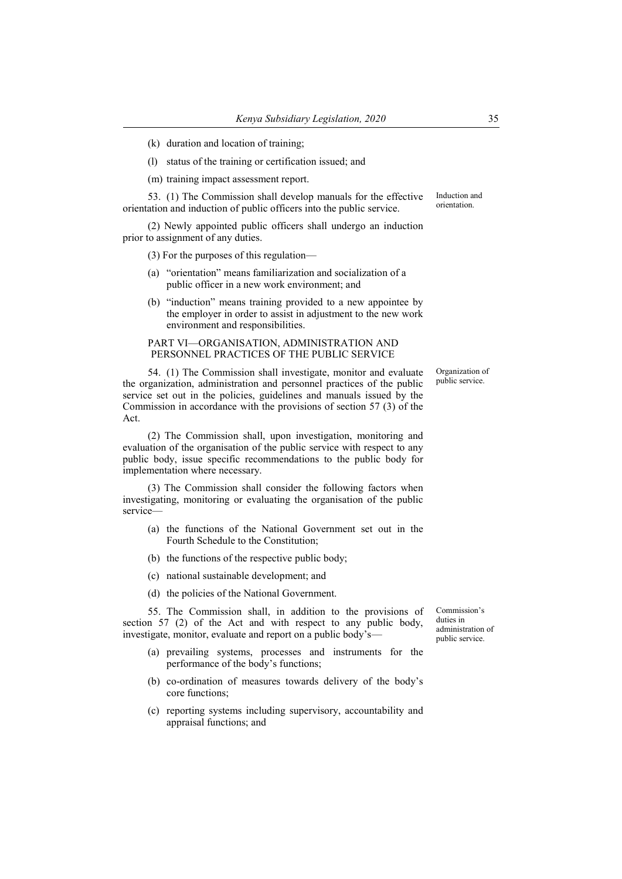- (k) duration and location of training;
- (l) status of the training or certification issued; and

(m) training impact assessment report.

53. (1) The Commission shall develop manuals for the effective orientation and induction of public officers into the public service.

(2) Newly appointed public officers shall undergo an induction prior to assignment of any duties.

(3) For the purposes of this regulation—

- (a) "orientation" means familiarization and socialization of a public officer in a new work environment; and
- (b) "induction" means training provided to a new appointee by the employer in order to assist in adjustment to the new work environment and responsibilities.

#### PART VI—ORGANISATION, ADMINISTRATION AND PERSONNEL PRACTICES OF THE PUBLIC SERVICE

54. (1) The Commission shall investigate, monitor and evaluate the organization, administration and personnel practices of the public service set out in the policies, guidelines and manuals issued by the Commission in accordance with the provisions of section 57 (3) of the Act.

(2) The Commission shall, upon investigation, monitoring and evaluation of the organisation of the public service with respect to any public body, issue specific recommendations to the public body for implementation where necessary.

(3) The Commission shall consider the following factors when investigating, monitoring or evaluating the organisation of the public service—

- (a) the functions of the National Government set out in the Fourth Schedule to the Constitution;
- (b) the functions of the respective public body;
- (c) national sustainable development; and
- (d) the policies of the National Government.

55. The Commission shall, in addition to the provisions of section 57 (2) of the Act and with respect to any public body, investigate, monitor, evaluate and report on a public body's—

- (a) prevailing systems, processes and instruments for the performance of the body's functions;
- (b) co-ordination of measures towards delivery of the body's core functions;
- (c) reporting systems including supervisory, accountability and appraisal functions; and

Commission's duties in administration of public service.

Organization of public service.

Induction and orientation.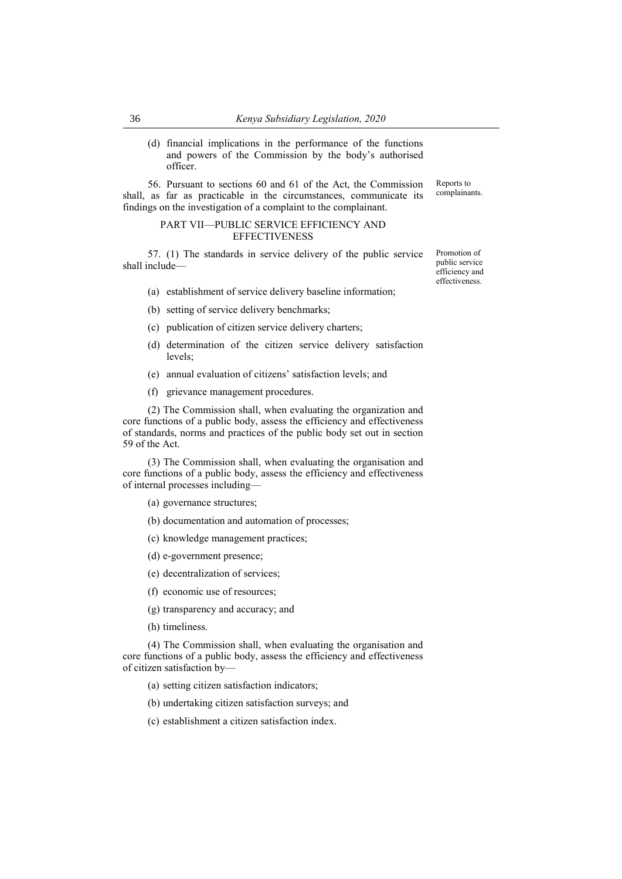(d) financial implications in the performance of the functions and powers of the Commission by the body's authorised officer.

56. Pursuant to sections 60 and 61 of the Act, the Commission shall, as far as practicable in the circumstances, communicate its findings on the investigation of a complaint to the complainant. complainants.

#### PART VII—PUBLIC SERVICE EFFICIENCY AND **EFFECTIVENESS**

57. (1) The standards in service delivery of the public service shall include—

- (a) establishment of service delivery baseline information;
- (b) setting of service delivery benchmarks;
- (c) publication of citizen service delivery charters;
- (d) determination of the citizen service delivery satisfaction levels;
- (e) annual evaluation of citizens' satisfaction levels; and
- (f) grievance management procedures.

(2) The Commission shall, when evaluating the organization and core functions of a public body, assess the efficiency and effectiveness of standards, norms and practices of the public body set out in section 59 of the Act.

(3) The Commission shall, when evaluating the organisation and core functions of a public body, assess the efficiency and effectiveness of internal processes including—

(a) governance structures;

(b) documentation and automation of processes;

(c) knowledge management practices;

- (d) e-government presence;
- (e) decentralization of services;
- (f) economic use of resources;
- (g) transparency and accuracy; and
- (h) timeliness.

(4) The Commission shall, when evaluating the organisation and core functions of a public body, assess the efficiency and effectiveness of citizen satisfaction by—

(a) setting citizen satisfaction indicators;

(b) undertaking citizen satisfaction surveys; and

(c) establishment a citizen satisfaction index.

Promotion of public service efficiency and effectiveness.

Reports to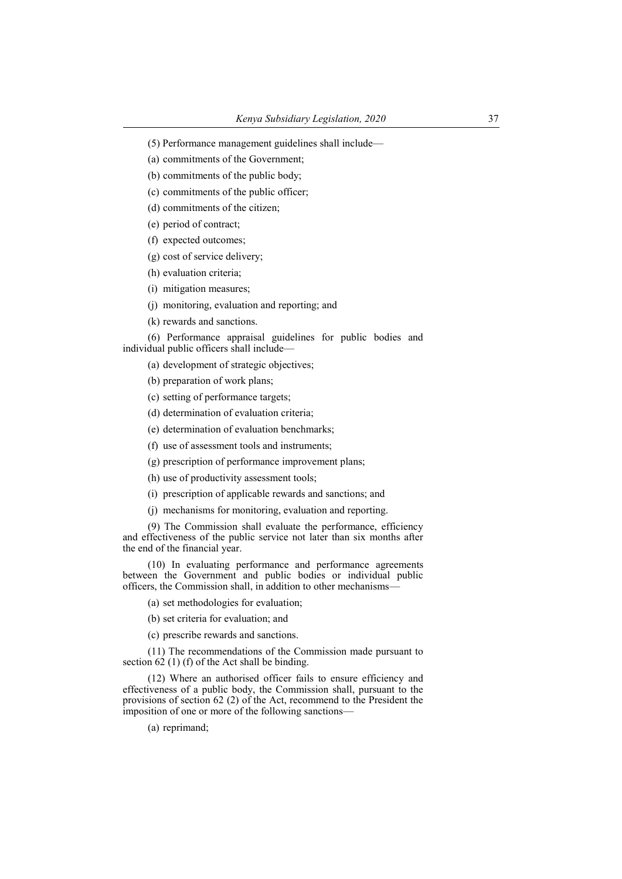(a) commitments of the Government;

(b) commitments of the public body;

(c) commitments of the public officer;

(d) commitments of the citizen;

(e) period of contract;

(f) expected outcomes;

(g) cost of service delivery;

(h) evaluation criteria;

(i) mitigation measures;

(j) monitoring, evaluation and reporting; and

(k) rewards and sanctions.

(6) Performance appraisal guidelines for public bodies and individual public officers shall include—

(a) development of strategic objectives;

(b) preparation of work plans;

(c) setting of performance targets;

(d) determination of evaluation criteria;

(e) determination of evaluation benchmarks;

(f) use of assessment tools and instruments;

(g) prescription of performance improvement plans;

(h) use of productivity assessment tools;

(i) prescription of applicable rewards and sanctions; and

(j) mechanisms for monitoring, evaluation and reporting.

(9) The Commission shall evaluate the performance, efficiency and effectiveness of the public service not later than six months after the end of the financial year.

(10) In evaluating performance and performance agreements between the Government and public bodies or individual public officers, the Commission shall, in addition to other mechanisms—

(a) set methodologies for evaluation;

(b) set criteria for evaluation; and

(c) prescribe rewards and sanctions.

(11) The recommendations of the Commission made pursuant to section  $62$  (1) (f) of the Act shall be binding.

(12) Where an authorised officer fails to ensure efficiency and effectiveness of a public body, the Commission shall, pursuant to the provisions of section 62 (2) of the Act, recommend to the President the imposition of one or more of the following sanctions—

(a) reprimand;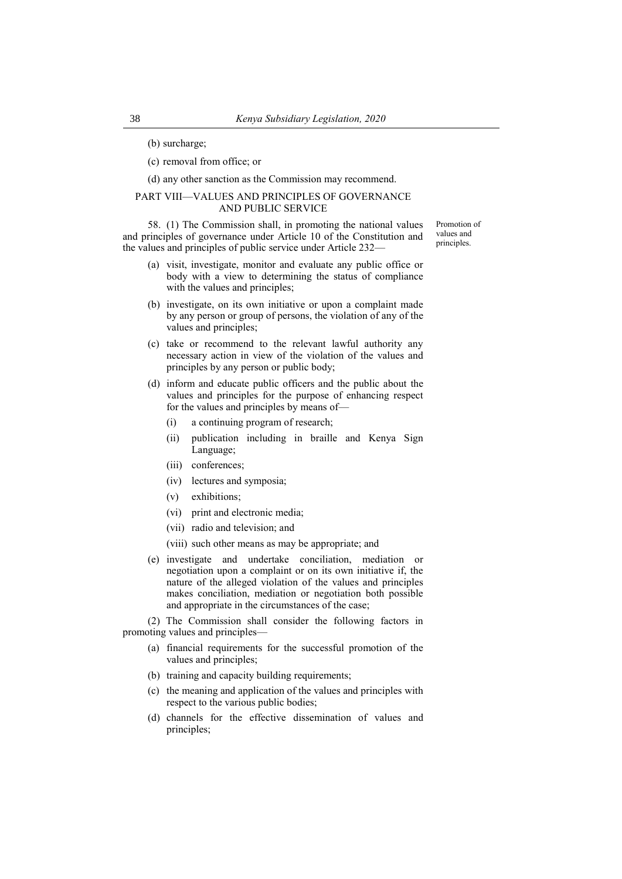(b) surcharge;

(c) removal from office; or

(d) any other sanction as the Commission may recommend.

#### PART VIII—VALUES AND PRINCIPLES OF GOVERNANCE AND PUBLIC SERVICE

58. (1) The Commission shall, in promoting the national values and principles of governance under Article 10 of the Constitution and the values and principles of public service under Article 232—

Promotion of values and principles.

- (a) visit, investigate, monitor and evaluate any public office or body with a view to determining the status of compliance with the values and principles;
- (b) investigate, on its own initiative or upon a complaint made by any person or group of persons, the violation of any of the values and principles;
- (c) take or recommend to the relevant lawful authority any necessary action in view of the violation of the values and principles by any person or public body;
- (d) inform and educate public officers and the public about the values and principles for the purpose of enhancing respect for the values and principles by means of—
	- (i) a continuing program of research;
	- (ii) publication including in braille and Kenya Sign Language;
	- (iii) conferences;
	- (iv) lectures and symposia;
	- (v) exhibitions;
	- (vi) print and electronic media;
	- (vii) radio and television; and
	- (viii) such other means as may be appropriate; and
- (e) investigate and undertake conciliation, mediation or negotiation upon a complaint or on its own initiative if, the nature of the alleged violation of the values and principles makes conciliation, mediation or negotiation both possible and appropriate in the circumstances of the case;

(2) The Commission shall consider the following factors in promoting values and principles—

- (a) financial requirements for the successful promotion of the values and principles;
- (b) training and capacity building requirements;
- (c) the meaning and application of the values and principles with respect to the various public bodies;
- (d) channels for the effective dissemination of values and principles;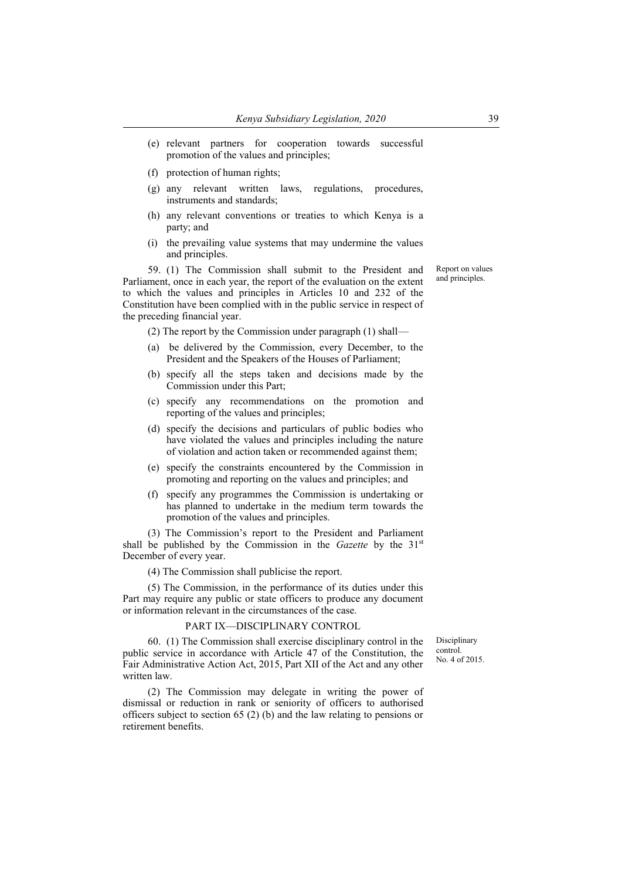- (e) relevant partners for cooperation towards successful promotion of the values and principles;
- (f) protection of human rights;
- (g) any relevant written laws, regulations, procedures, instruments and standards;
- (h) any relevant conventions or treaties to which Kenya is a party; and
- (i) the prevailing value systems that may undermine the values and principles.

59. (1) The Commission shall submit to the President and Parliament, once in each year, the report of the evaluation on the extent to which the values and principles in Articles 10 and 232 of the Constitution have been complied with in the public service in respect of the preceding financial year.

(2) The report by the Commission under paragraph (1) shall—

- (a) be delivered by the Commission, every December, to the President and the Speakers of the Houses of Parliament;
- (b) specify all the steps taken and decisions made by the Commission under this Part;
- (c) specify any recommendations on the promotion and reporting of the values and principles;
- (d) specify the decisions and particulars of public bodies who have violated the values and principles including the nature of violation and action taken or recommended against them;
- (e) specify the constraints encountered by the Commission in promoting and reporting on the values and principles; and
- (f) specify any programmes the Commission is undertaking or has planned to undertake in the medium term towards the promotion of the values and principles.

(3) The Commission's report to the President and Parliament shall be published by the Commission in the *Gazette* by the 31st December of every year.

(4) The Commission shall publicise the report.

(5) The Commission, in the performance of its duties under this Part may require any public or state officers to produce any document or information relevant in the circumstances of the case.

# PART IX—DISCIPLINARY CONTROL

60. (1) The Commission shall exercise disciplinary control in the public service in accordance with Article 47 of the Constitution, the Fair Administrative Action Act, 2015, Part XII of the Act and any other written law.

(2) The Commission may delegate in writing the power of dismissal or reduction in rank or seniority of officers to authorised officers subject to section 65 (2) (b) and the law relating to pensions or retirement benefits.

Report on values and principles.

Disciplinary control. No. 4 of 2015.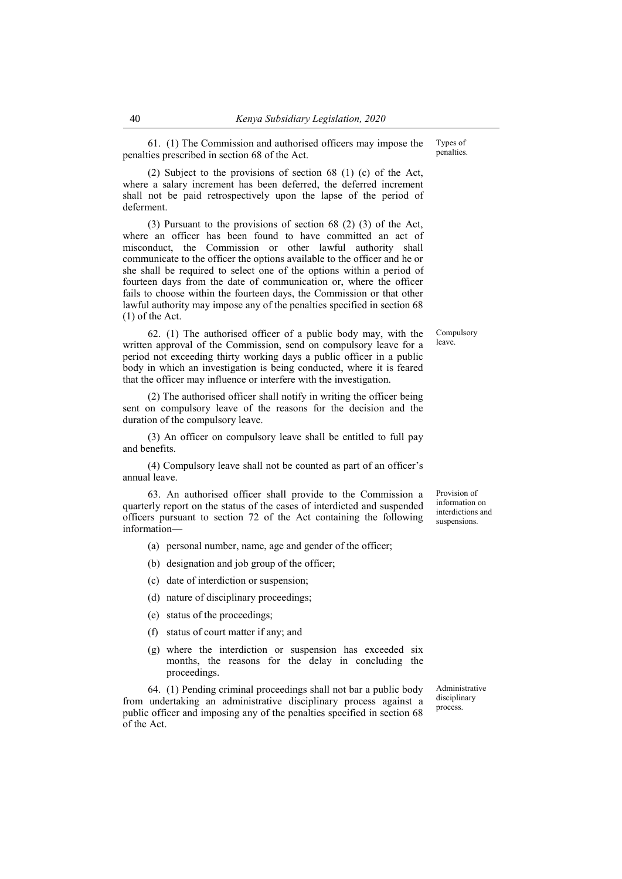61. (1) The Commission and authorised officers may impose the penalties prescribed in section 68 of the Act.

(2) Subject to the provisions of section 68 (1) (c) of the Act, where a salary increment has been deferred, the deferred increment shall not be paid retrospectively upon the lapse of the period of deferment.

(3) Pursuant to the provisions of section 68 (2) (3) of the Act, where an officer has been found to have committed an act of misconduct, the Commission or other lawful authority shall communicate to the officer the options available to the officer and he or she shall be required to select one of the options within a period of fourteen days from the date of communication or, where the officer fails to choose within the fourteen days, the Commission or that other lawful authority may impose any of the penalties specified in section 68 (1) of the Act.

62. (1) The authorised officer of a public body may, with the written approval of the Commission, send on compulsory leave for a period not exceeding thirty working days a public officer in a public body in which an investigation is being conducted, where it is feared that the officer may influence or interfere with the investigation.

(2) The authorised officer shall notify in writing the officer being sent on compulsory leave of the reasons for the decision and the duration of the compulsory leave.

(3) An officer on compulsory leave shall be entitled to full pay and benefits.

(4) Compulsory leave shall not be counted as part of an officer's annual leave.

63. An authorised officer shall provide to the Commission a quarterly report on the status of the cases of interdicted and suspended officers pursuant to section 72 of the Act containing the following information—

(a) personal number, name, age and gender of the officer;

(b) designation and job group of the officer;

- (c) date of interdiction or suspension;
- (d) nature of disciplinary proceedings;
- (e) status of the proceedings;
- (f) status of court matter if any; and
- (g) where the interdiction or suspension has exceeded six months, the reasons for the delay in concluding the proceedings.

64. (1) Pending criminal proceedings shall not bar a public body from undertaking an administrative disciplinary process against a public officer and imposing any of the penalties specified in section 68 of the Act.

Administrative disciplinary process.

Provision of information on interdictions and suspensions.

Compulsory leave.

Types of penalties.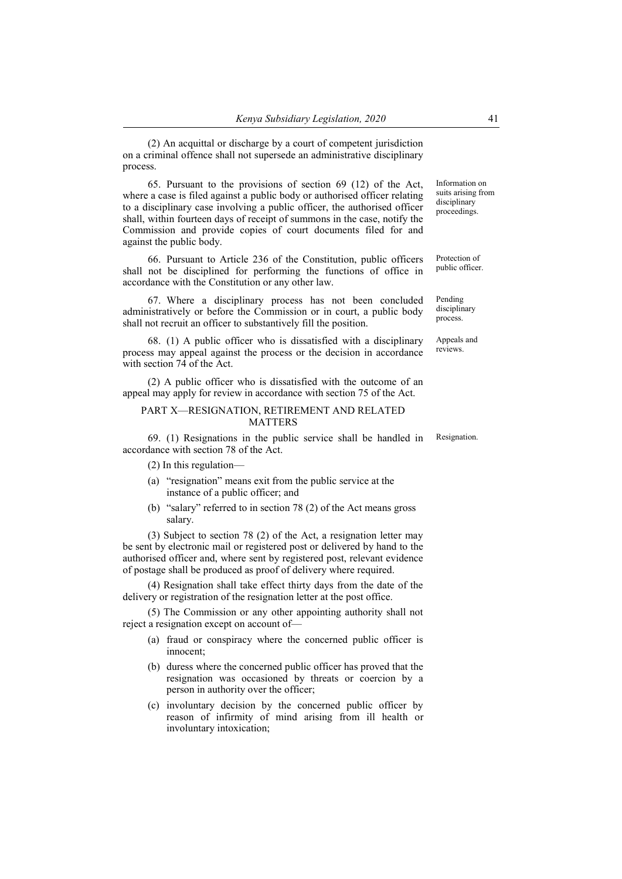(2) An acquittal or discharge by a court of competent jurisdiction on a criminal offence shall not supersede an administrative disciplinary process.

65. Pursuant to the provisions of section 69 (12) of the Act, where a case is filed against a public body or authorised officer relating to a disciplinary case involving a public officer, the authorised officer shall, within fourteen days of receipt of summons in the case, notify the Commission and provide copies of court documents filed for and against the public body.

66. Pursuant to Article 236 of the Constitution, public officers shall not be disciplined for performing the functions of office in accordance with the Constitution or any other law.

67. Where a disciplinary process has not been concluded administratively or before the Commission or in court, a public body shall not recruit an officer to substantively fill the position.

68. (1) A public officer who is dissatisfied with a disciplinary process may appeal against the process or the decision in accordance with section 74 of the Act.

(2) A public officer who is dissatisfied with the outcome of an appeal may apply for review in accordance with section 75 of the Act.

## PART X—RESIGNATION, RETIREMENT AND RELATED MATTERS

69. (1) Resignations in the public service shall be handled in accordance with section 78 of the Act.

(2) In this regulation—

- (a) "resignation" means exit from the public service at the instance of a public officer; and
- (b) "salary" referred to in section 78 (2) of the Act means gross salary.

(3) Subject to section 78 (2) of the Act, a resignation letter may be sent by electronic mail or registered post or delivered by hand to the authorised officer and, where sent by registered post, relevant evidence of postage shall be produced as proof of delivery where required.

(4) Resignation shall take effect thirty days from the date of the delivery or registration of the resignation letter at the post office.

(5) The Commission or any other appointing authority shall not reject a resignation except on account of—

- (a) fraud or conspiracy where the concerned public officer is innocent;
- (b) duress where the concerned public officer has proved that the resignation was occasioned by threats or coercion by a person in authority over the officer;
- (c) involuntary decision by the concerned public officer by reason of infirmity of mind arising from ill health or involuntary intoxication;

Information on suits arising from disciplinary proceedings.

Protection of public officer.

Pending disciplinary process.

Appeals and reviews.

Resignation.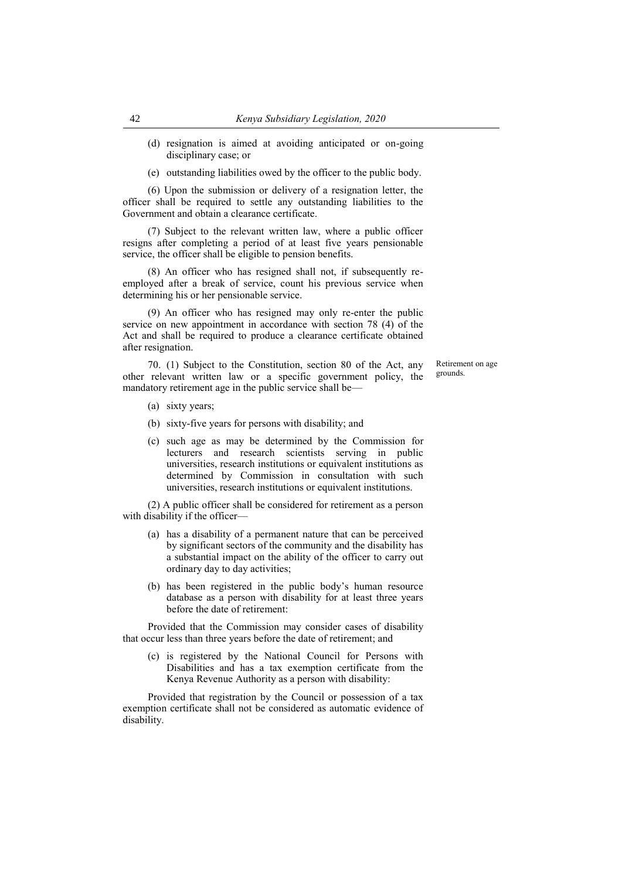- (d) resignation is aimed at avoiding anticipated or on-going disciplinary case; or
- (e) outstanding liabilities owed by the officer to the public body.

(6) Upon the submission or delivery of a resignation letter, the officer shall be required to settle any outstanding liabilities to the Government and obtain a clearance certificate.

(7) Subject to the relevant written law, where a public officer resigns after completing a period of at least five years pensionable service, the officer shall be eligible to pension benefits.

(8) An officer who has resigned shall not, if subsequently reemployed after a break of service, count his previous service when determining his or her pensionable service.

(9) An officer who has resigned may only re-enter the public service on new appointment in accordance with section 78 (4) of the Act and shall be required to produce a clearance certificate obtained after resignation.

70. (1) Subject to the Constitution, section 80 of the Act, any other relevant written law or a specific government policy, the mandatory retirement age in the public service shall beRetirement on age grounds.

- (a) sixty years;
- (b) sixty-five years for persons with disability; and
- (c) such age as may be determined by the Commission for lecturers and research scientists serving in public universities, research institutions or equivalent institutions as determined by Commission in consultation with such universities, research institutions or equivalent institutions.

(2) A public officer shall be considered for retirement as a person with disability if the officer-

- (a) has a disability of a permanent nature that can be perceived by significant sectors of the community and the disability has a substantial impact on the ability of the officer to carry out ordinary day to day activities;
- (b) has been registered in the public body's human resource database as a person with disability for at least three years before the date of retirement:

Provided that the Commission may consider cases of disability that occur less than three years before the date of retirement; and

(c) is registered by the National Council for Persons with Disabilities and has a tax exemption certificate from the Kenya Revenue Authority as a person with disability:

Provided that registration by the Council or possession of a tax exemption certificate shall not be considered as automatic evidence of disability.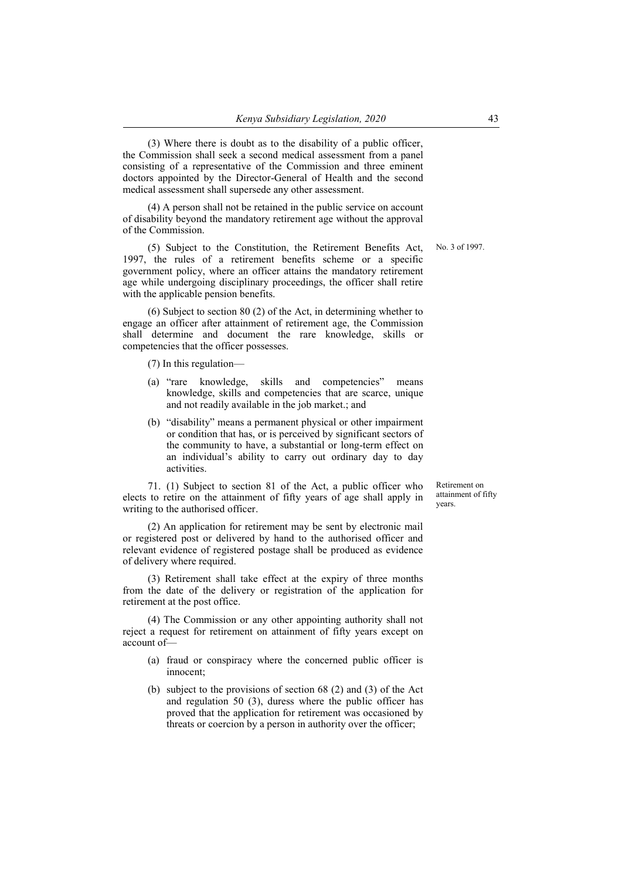(3) Where there is doubt as to the disability of a public officer, the Commission shall seek a second medical assessment from a panel consisting of a representative of the Commission and three eminent doctors appointed by the Director-General of Health and the second medical assessment shall supersede any other assessment.

(4) A person shall not be retained in the public service on account of disability beyond the mandatory retirement age without the approval of the Commission.

(5) Subject to the Constitution, the Retirement Benefits Act, 1997, the rules of a retirement benefits scheme or a specific government policy, where an officer attains the mandatory retirement age while undergoing disciplinary proceedings, the officer shall retire with the applicable pension benefits.

(6) Subject to section 80 (2) of the Act, in determining whether to engage an officer after attainment of retirement age, the Commission shall determine and document the rare knowledge, skills or competencies that the officer possesses.

(7) In this regulation—

- (a) "rare knowledge, skills and competencies" means knowledge, skills and competencies that are scarce, unique and not readily available in the job market.; and
- (b) "disability" means a permanent physical or other impairment or condition that has, or is perceived by significant sectors of the community to have, a substantial or long-term effect on an individual's ability to carry out ordinary day to day activities.

71. (1) Subject to section 81 of the Act, a public officer who elects to retire on the attainment of fifty years of age shall apply in writing to the authorised officer.

(2) An application for retirement may be sent by electronic mail or registered post or delivered by hand to the authorised officer and relevant evidence of registered postage shall be produced as evidence of delivery where required.

(3) Retirement shall take effect at the expiry of three months from the date of the delivery or registration of the application for retirement at the post office.

(4) The Commission or any other appointing authority shall not reject a request for retirement on attainment of fifty years except on account of—

- (a) fraud or conspiracy where the concerned public officer is innocent;
- (b) subject to the provisions of section 68 (2) and (3) of the Act and regulation 50 (3), duress where the public officer has proved that the application for retirement was occasioned by threats or coercion by a person in authority over the officer;

Retirement on attainment of fifty years.

No. 3 of 1997.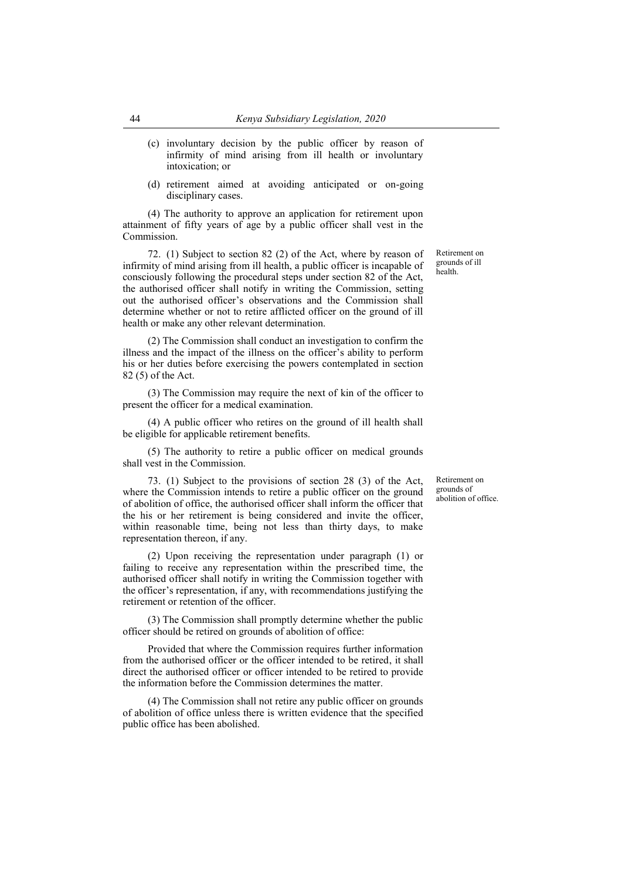- (c) involuntary decision by the public officer by reason of infirmity of mind arising from ill health or involuntary intoxication; or
- (d) retirement aimed at avoiding anticipated or on-going disciplinary cases.

(4) The authority to approve an application for retirement upon attainment of fifty years of age by a public officer shall vest in the Commission.

72. (1) Subject to section 82 (2) of the Act, where by reason of infirmity of mind arising from ill health, a public officer is incapable of consciously following the procedural steps under section 82 of the Act, the authorised officer shall notify in writing the Commission, setting out the authorised officer's observations and the Commission shall determine whether or not to retire afflicted officer on the ground of ill health or make any other relevant determination.

(2) The Commission shall conduct an investigation to confirm the illness and the impact of the illness on the officer's ability to perform his or her duties before exercising the powers contemplated in section 82 (5) of the Act.

(3) The Commission may require the next of kin of the officer to present the officer for a medical examination.

(4) A public officer who retires on the ground of ill health shall be eligible for applicable retirement benefits.

(5) The authority to retire a public officer on medical grounds shall vest in the Commission.

73. (1) Subject to the provisions of section 28 (3) of the Act, where the Commission intends to retire a public officer on the ground of abolition of office, the authorised officer shall inform the officer that the his or her retirement is being considered and invite the officer, within reasonable time, being not less than thirty days, to make representation thereon, if any.

(2) Upon receiving the representation under paragraph (1) or failing to receive any representation within the prescribed time, the authorised officer shall notify in writing the Commission together with the officer's representation, if any, with recommendations justifying the retirement or retention of the officer.

(3) The Commission shall promptly determine whether the public officer should be retired on grounds of abolition of office:

Provided that where the Commission requires further information from the authorised officer or the officer intended to be retired, it shall direct the authorised officer or officer intended to be retired to provide the information before the Commission determines the matter.

(4) The Commission shall not retire any public officer on grounds of abolition of office unless there is written evidence that the specified public office has been abolished.

Retirement on grounds of abolition of office.

Retirement on grounds of ill health.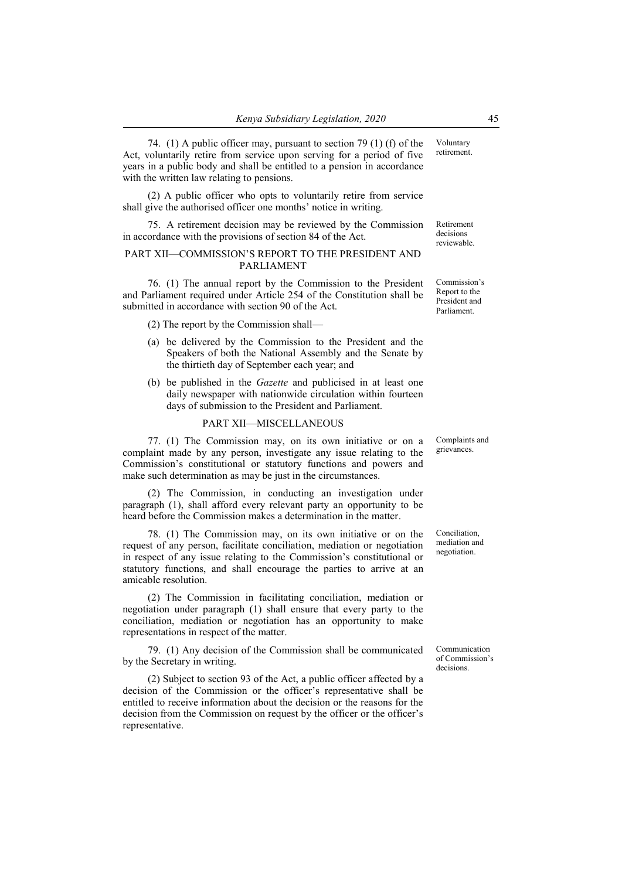74. (1) A public officer may, pursuant to section 79 (1) (f) of the Act, voluntarily retire from service upon serving for a period of five years in a public body and shall be entitled to a pension in accordance with the written law relating to pensions.

(2) A public officer who opts to voluntarily retire from service shall give the authorised officer one months' notice in writing.

75. A retirement decision may be reviewed by the Commission in accordance with the provisions of section 84 of the Act.

#### PART XII—COMMISSION'S REPORT TO THE PRESIDENT AND PARLIAMENT

76. (1) The annual report by the Commission to the President and Parliament required under Article 254 of the Constitution shall be submitted in accordance with section 90 of the Act.

(2) The report by the Commission shall—

- (a) be delivered by the Commission to the President and the Speakers of both the National Assembly and the Senate by the thirtieth day of September each year; and
- (b) be published in the *Gazette* and publicised in at least one daily newspaper with nationwide circulation within fourteen days of submission to the President and Parliament.

#### PART XII—MISCELLANEOUS

77. (1) The Commission may, on its own initiative or on a complaint made by any person, investigate any issue relating to the Commission's constitutional or statutory functions and powers and make such determination as may be just in the circumstances.

(2) The Commission, in conducting an investigation under paragraph (1), shall afford every relevant party an opportunity to be heard before the Commission makes a determination in the matter.

78. (1) The Commission may, on its own initiative or on the request of any person, facilitate conciliation, mediation or negotiation in respect of any issue relating to the Commission's constitutional or statutory functions, and shall encourage the parties to arrive at an amicable resolution.

(2) The Commission in facilitating conciliation, mediation or negotiation under paragraph (1) shall ensure that every party to the conciliation, mediation or negotiation has an opportunity to make representations in respect of the matter.

79. (1) Any decision of the Commission shall be communicated by the Secretary in writing.

(2) Subject to section 93 of the Act, a public officer affected by a decision of the Commission or the officer's representative shall be entitled to receive information about the decision or the reasons for the decision from the Commission on request by the officer or the officer's representative.

Voluntary retirement.

Retirement decisions reviewable.

Commission's Report to the President and Parliament.

Complaints and grievances.

Conciliation, mediation and negotiation.

Communication of Commission's decisions.